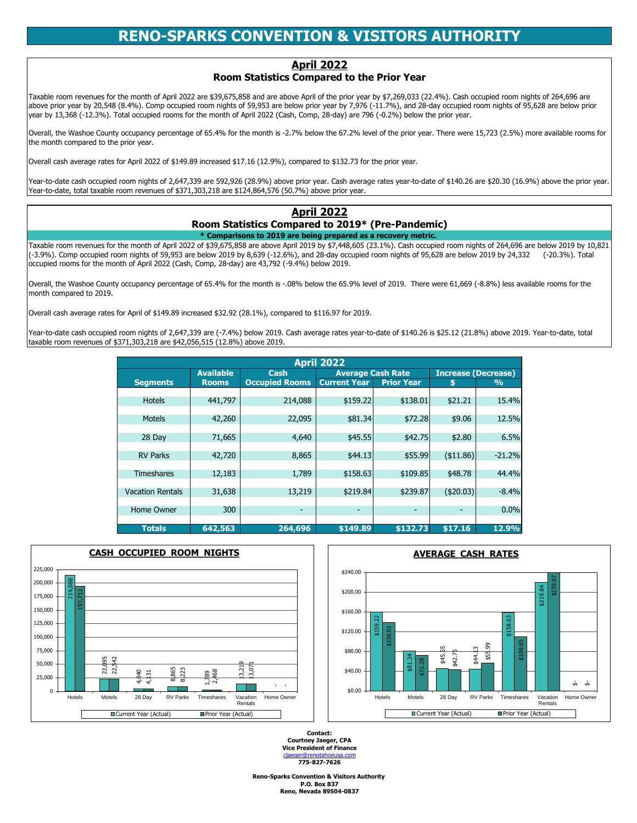**P.O. Box 837 Reno, Nevada 89504-0837 Reno-Sparks Convention & Visitors Authority** 

**Courtney Jaeger, CPA Vice President of Finance** [c](mailto:cjaeger@renotahoeusa.com)jaeger@renotahoeusa.com **775-827-7626 Contact:**

### **Room Statistics Compared to 2019\* (Pre-Pandemic)**

#### **\* Comparisons to 2019 are being prepared as a recovery metric.**

|                         | <b>April 2022</b>     |                       |                          |                   |                  |                            |  |  |  |  |  |  |  |
|-------------------------|-----------------------|-----------------------|--------------------------|-------------------|------------------|----------------------------|--|--|--|--|--|--|--|
|                         | <b>Available</b>      | <b>Cash</b>           | <b>Average Cash Rate</b> |                   |                  | <b>Increase (Decrease)</b> |  |  |  |  |  |  |  |
| <b>Segments</b>         | <b>Rooms</b>          | <b>Occupied Rooms</b> | <b>Current Year</b>      | <b>Prior Year</b> |                  | $\frac{9}{6}$              |  |  |  |  |  |  |  |
|                         |                       |                       |                          |                   |                  |                            |  |  |  |  |  |  |  |
| <b>Hotels</b>           | 441,797               | 214,088               | \$159.22                 | \$138.01          | \$21.21          | 15.4%                      |  |  |  |  |  |  |  |
|                         |                       |                       |                          |                   |                  |                            |  |  |  |  |  |  |  |
| <b>Motels</b>           | 42,260                | 22,095                | \$81.34                  | \$72.28           | \$9.06           | 12.5%                      |  |  |  |  |  |  |  |
| 28 Day                  | 71,665                | 4,640                 | \$45.55                  | \$42.75           | \$2.80           | 6.5%                       |  |  |  |  |  |  |  |
|                         |                       |                       |                          |                   |                  |                            |  |  |  |  |  |  |  |
| <b>RV Parks</b>         | 42,720                | 8,865                 | \$44.13                  | \$55.99           | $($ \$11.86) $ $ | $-21.2%$                   |  |  |  |  |  |  |  |
|                         |                       |                       |                          |                   |                  |                            |  |  |  |  |  |  |  |
| <b>Timeshares</b>       | 12,183                | 1,789                 | \$158.63                 | \$109.85          | \$48.78          | 44.4%                      |  |  |  |  |  |  |  |
|                         |                       |                       |                          |                   |                  |                            |  |  |  |  |  |  |  |
| <b>Vacation Rentals</b> | 31,638                | 13,219                | \$219.84                 | \$239.87          | ( \$20.03)       | $-8.4%$                    |  |  |  |  |  |  |  |
|                         |                       |                       |                          |                   |                  |                            |  |  |  |  |  |  |  |
| <b>Home Owner</b>       | 300                   | ۰.                    | ۰                        | -                 | ۰.               | 0.0%                       |  |  |  |  |  |  |  |
|                         |                       |                       |                          |                   |                  | 12.9%                      |  |  |  |  |  |  |  |
| <b>Totals</b>           | $\overline{6}$ 42,563 | 264,696               | \$149.89                 | \$132.73          | \$17.16          |                            |  |  |  |  |  |  |  |

Taxable room revenues for the month of April 2022 of \$39,675,858 are above April 2019 by \$7,448,605 (23.1%). Cash occupied room nights of 264,696 are below 2019 by 10,821  $\left[\right(-3.9\% \right]$ . Comp occupied room nights of 59,953 are below 2019 by 8,639 (-12.6%), and 28-day occupied room nights of 95,628 are below 2019 by 24,332 (-20.3%). Total occupied rooms for the month of April 2022 (Cash, Comp, 28-day) are 43,792 (-9.4%) below 2019.

Overall, the Washoe County occupancy percentage of 65.4% for the month is -2.7% below the 67.2% level of the prior year. There were 15,723 (2.5%) more available rooms for Ithe month compared to the prior year.

Overall, the Washoe County occupancy percentage of 65.4% for the month is -.08% below the 65.9% level of 2019. There were 61,669 (-8.8%) less available rooms for the month compared to 2019.

Overall cash average rates for April of \$149.89 increased \$32.92 (28.1%), compared to \$116.97 for 2019.

Year-to-date cash occupied room nights of 2,647,339 are (-7.4%) below 2019. Cash average rates year-to-date of \$140.26 is \$25.12 (21.8%) above 2019. Year-to-date, total taxable room revenues of \$371,303,218 are \$42,056,515 (12.8%) above 2019.

## **April 2022**

# **RENO-SPARKS CONVENTION & VISITORS AUTHORITY**

## **April 2022**

## **Room Statistics Compared to the Prior Year**

Taxable room revenues for the month of April 2022 are \$39,675,858 and are above April of the prior year by \$7,269,033 (22.4%). Cash occupied room nights of 264,696 are above prior year by 20,548 (8.4%). Comp occupied room nights of 59,953 are below prior year by 7,976 (-11.7%), and 28-day occupied room nights of 95,628 are below prior year by 13,368 (-12.3%). Total occupied rooms for the month of April 2022 (Cash, Comp, 28-day) are 796 (-0.2%) below the prior year.

Overall cash average rates for April 2022 of \$149.89 increased \$17.16 (12.9%), compared to \$132.73 for the prior year.

Year-to-date cash occupied room nights of 2,647,339 are 592,926 (28.9%) above prior year. Cash average rates year-to-date of \$140.26 are \$20.30 (16.9%) above the prior year. Year-to-date, total taxable room revenues of \$371,303,218 are \$124,864,576 (50.7%) above prior year.

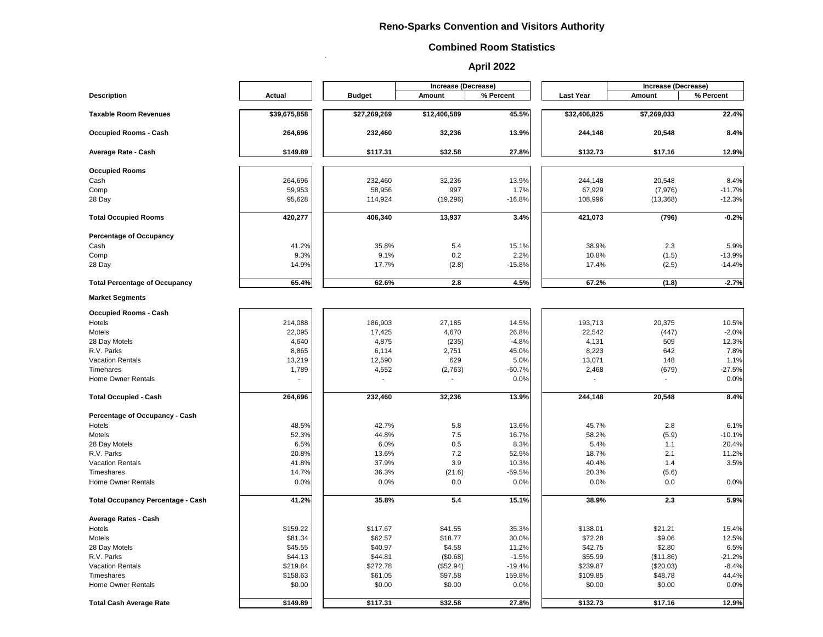.

|                                          |               |               | <b>Increase (Decrease)</b> |           |                  | <b>Increase (Decrease)</b> |           |
|------------------------------------------|---------------|---------------|----------------------------|-----------|------------------|----------------------------|-----------|
| <b>Description</b>                       | <b>Actual</b> | <b>Budget</b> | <b>Amount</b>              | % Percent | <b>Last Year</b> | <b>Amount</b>              | % Percent |
| <b>Taxable Room Revenues</b>             | \$39,675,858  | \$27,269,269  | \$12,406,589               | 45.5%     | \$32,406,825     | \$7,269,033                | 22.4%     |
| <b>Occupied Rooms - Cash</b>             | 264,696       | 232,460       | 32,236                     | 13.9%     | 244,148          | 20,548                     | 8.4%      |
| <b>Average Rate - Cash</b>               | \$149.89      | \$117.31      | \$32.58                    | 27.8%     | \$132.73         | \$17.16                    | 12.9%     |
| <b>Occupied Rooms</b>                    |               |               |                            |           |                  |                            |           |
| Cash                                     | 264,696       | 232,460       | 32,236                     | 13.9%     | 244,148          | 20,548                     | 8.4%      |
|                                          |               |               | 997                        |           | 67,929           |                            |           |
| Comp                                     | 59,953        | 58,956        |                            | 1.7%      |                  | (7, 976)                   | $-11.7%$  |
| 28 Day                                   | 95,628        | 114,924       | (19, 296)                  | $-16.8%$  | 108,996          | (13, 368)                  | $-12.3%$  |
| <b>Total Occupied Rooms</b>              | 420,277       | 406,340       | 13,937                     | 3.4%      | 421,073          | (796)                      | $-0.2%$   |
| <b>Percentage of Occupancy</b>           |               |               |                            |           |                  |                            |           |
| Cash                                     | 41.2%         | 35.8%         | 5.4                        | 15.1%     | 38.9%            | 2.3                        | 5.9%      |
| Comp                                     | 9.3%          | 9.1%          | 0.2                        | 2.2%      | 10.8%            | (1.5)                      | $-13.9%$  |
| 28 Day                                   | 14.9%         | 17.7%         | (2.8)                      | $-15.8%$  | 17.4%            | (2.5)                      | $-14.4%$  |
| <b>Total Percentage of Occupancy</b>     | 65.4%         | 62.6%         | 2.8                        | 4.5%      | 67.2%            | (1.8)                      | $-2.7%$   |
| <b>Market Segments</b>                   |               |               |                            |           |                  |                            |           |
| <b>Occupied Rooms - Cash</b>             |               |               |                            |           |                  |                            |           |
| Hotels                                   | 214,088       | 186,903       | 27,185                     | 14.5%     | 193,713          | 20,375                     | 10.5%     |
| Motels                                   | 22,095        | 17,425        | 4,670                      | 26.8%     | 22,542           | (447)                      | $-2.0%$   |
| 28 Day Motels                            | 4,640         | 4,875         | (235)                      | $-4.8%$   | 4,131            | 509                        | 12.3%     |
| R.V. Parks                               | 8,865         | 6,114         | 2,751                      | 45.0%     | 8,223            | 642                        | 7.8%      |
| <b>Vacation Rentals</b>                  | 13,219        | 12,590        | 629                        | 5.0%      | 13,071           | 148                        | 1.1%      |
| Timehares                                |               | 4,552         |                            | $-60.7%$  | 2,468            |                            | $-27.5%$  |
|                                          | 1,789         |               | (2,763)                    |           |                  | (679)                      |           |
| <b>Home Owner Rentals</b>                |               |               |                            | 0.0%      |                  |                            | 0.0%      |
| <b>Total Occupied - Cash</b>             | 264,696       | 232,460       | 32,236                     | 13.9%     | 244,148          | 20,548                     | 8.4%      |
| <b>Percentage of Occupancy - Cash</b>    |               |               |                            |           |                  |                            |           |
| Hotels                                   | 48.5%         | 42.7%         | 5.8                        | 13.6%     | 45.7%            | 2.8                        | 6.1%      |
| Motels                                   | 52.3%         | 44.8%         | 7.5                        | 16.7%     | 58.2%            | (5.9)                      | $-10.1%$  |
| 28 Day Motels                            | 6.5%          | 6.0%          | 0.5                        | 8.3%      | 5.4%             | 1.1                        | 20.4%     |
| R.V. Parks                               | 20.8%         | 13.6%         | 7.2                        | 52.9%     | 18.7%            | 2.1                        | 11.2%     |
| <b>Vacation Rentals</b>                  | 41.8%         | 37.9%         | 3.9                        | 10.3%     | 40.4%            | 1.4                        | 3.5%      |
| <b>Timeshares</b>                        | 14.7%         | 36.3%         | (21.6)                     | $-59.5%$  | 20.3%            | (5.6)                      |           |
| <b>Home Owner Rentals</b>                | 0.0%          | 0.0%          | 0.0                        | 0.0%      | 0.0%             | 0.0                        | 0.0%      |
| <b>Total Occupancy Percentage - Cash</b> | 41.2%         | 35.8%         | 5.4                        | 15.1%     | 38.9%            | 2.3                        | 5.9%      |
|                                          |               |               |                            |           |                  |                            |           |
| <b>Average Rates - Cash</b><br>Hotels    | \$159.22      | \$117.67      | \$41.55                    | 35.3%     | \$138.01         | \$21.21                    | 15.4%     |
| Motels                                   | \$81.34       | \$62.57       | \$18.77                    | 30.0%     | \$72.28          | \$9.06                     | 12.5%     |
|                                          | \$45.55       | \$40.97       | \$4.58                     | 11.2%     | \$42.75          | \$2.80                     | 6.5%      |
| 28 Day Motels                            |               |               |                            |           |                  |                            |           |
| R.V. Parks                               | \$44.13       | \$44.81       | (\$0.68)                   | $-1.5%$   | \$55.99          | (\$11.86)                  | $-21.2%$  |
| <b>Vacation Rentals</b>                  | \$219.84      | \$272.78      | (\$52.94)                  | $-19.4%$  | \$239.87         | (\$20.03)                  | $-8.4%$   |
| Timeshares                               | \$158.63      | \$61.05       | \$97.58                    | 159.8%    | \$109.85         | \$48.78                    | 44.4%     |
| <b>Home Owner Rentals</b>                | \$0.00        | \$0.00        | \$0.00                     | 0.0%      | \$0.00           | \$0.00                     | 0.0%      |
| <b>Total Cash Average Rate</b>           | \$149.89      | \$117.31      | \$32.58                    | 27.8%     | \$132.73         | \$17.16                    | 12.9%     |

#### **Reno-Sparks Convention and Visitors Authority**

#### **Combined Room Statistics**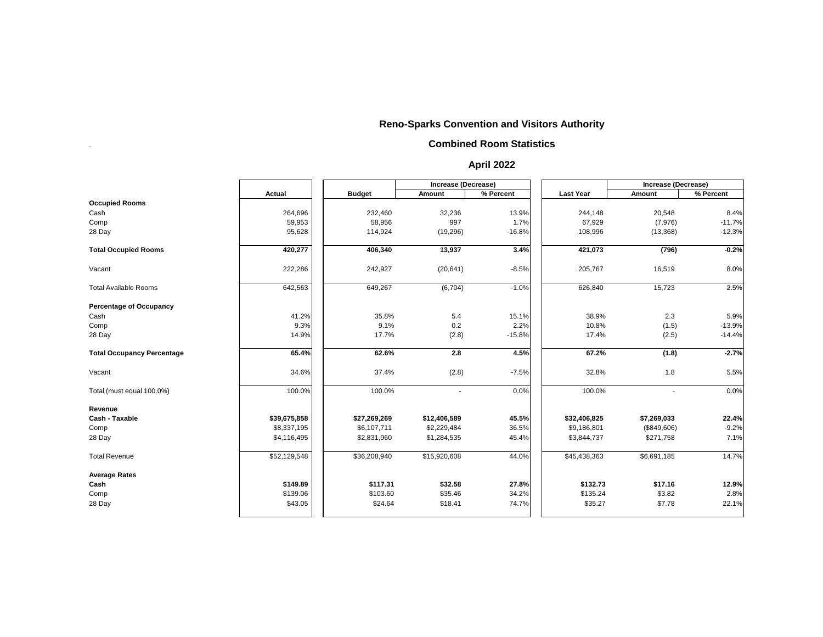.

|                                   |               |               | <b>Increase (Decrease)</b> |           |                  | Increase (Decrease) |           |
|-----------------------------------|---------------|---------------|----------------------------|-----------|------------------|---------------------|-----------|
|                                   | <b>Actual</b> | <b>Budget</b> | <b>Amount</b>              | % Percent | <b>Last Year</b> | <b>Amount</b>       | % Percent |
| <b>Occupied Rooms</b>             |               |               |                            |           |                  |                     |           |
| Cash                              | 264,696       | 232,460       | 32,236                     | 13.9%     | 244,148          | 20,548              | 8.4%      |
| Comp                              | 59,953        | 58,956        | 997                        | 1.7%      | 67,929           | (7,976)             | $-11.7%$  |
| 28 Day                            | 95,628        | 114,924       | (19, 296)                  | $-16.8%$  | 108,996          | (13, 368)           | $-12.3%$  |
| <b>Total Occupied Rooms</b>       | 420,277       | 406,340       | 13,937                     | 3.4%      | 421,073          | (796)               | $-0.2%$   |
| Vacant                            | 222,286       | 242,927       | (20, 641)                  | $-8.5%$   | 205,767          | 16,519              | 8.0%      |
| <b>Total Available Rooms</b>      | 642,563       | 649,267       | (6,704)                    | $-1.0%$   | 626,840          | 15,723              | 2.5%      |
| <b>Percentage of Occupancy</b>    |               |               |                            |           |                  |                     |           |
| Cash                              | 41.2%         | 35.8%         | 5.4                        | 15.1%     | 38.9%            | 2.3                 | 5.9%      |
| Comp                              | 9.3%          | 9.1%          | 0.2                        | 2.2%      | 10.8%            | (1.5)               | $-13.9%$  |
| 28 Day                            | 14.9%         | 17.7%         | (2.8)                      | $-15.8%$  | 17.4%            | (2.5)               | $-14.4%$  |
| <b>Total Occupancy Percentage</b> | 65.4%         | 62.6%         | 2.8                        | 4.5%      | 67.2%            | (1.8)               | $-2.7%$   |
| Vacant                            | 34.6%         | 37.4%         | (2.8)                      | $-7.5%$   | 32.8%            | 1.8                 | 5.5%      |
| Total (must equal 100.0%)         | 100.0%        | 100.0%        | $\overline{\phantom{a}}$   | 0.0%      | 100.0%           |                     | 0.0%      |
| Revenue                           |               |               |                            |           |                  |                     |           |
| <b>Cash - Taxable</b>             | \$39,675,858  | \$27,269,269  | \$12,406,589               | 45.5%     | \$32,406,825     | \$7,269,033         | 22.4%     |
| Comp                              | \$8,337,195   | \$6,107,711   | \$2,229,484                | 36.5%     | \$9,186,801      | (\$849,606)         | $-9.2%$   |
| 28 Day                            | \$4,116,495   | \$2,831,960   | \$1,284,535                | 45.4%     | \$3,844,737      | \$271,758           | 7.1%      |
| <b>Total Revenue</b>              | \$52,129,548  | \$36,208,940  | \$15,920,608               | 44.0%     | \$45,438,363     | \$6,691,185         | 14.7%     |
| <b>Average Rates</b>              |               |               |                            |           |                  |                     |           |
| Cash                              | \$149.89      | \$117.31      | \$32.58                    | 27.8%     | \$132.73         | \$17.16             | 12.9%     |
| Comp                              | \$139.06      | \$103.60      | \$35.46                    | 34.2%     | \$135.24         | \$3.82              | 2.8%      |
| 28 Day                            | \$43.05       | \$24.64       | \$18.41                    | 74.7%     | \$35.27          | \$7.78              | 22.1%     |

#### **Reno-Sparks Convention and Visitors Authority**

#### **Combined Room Statistics**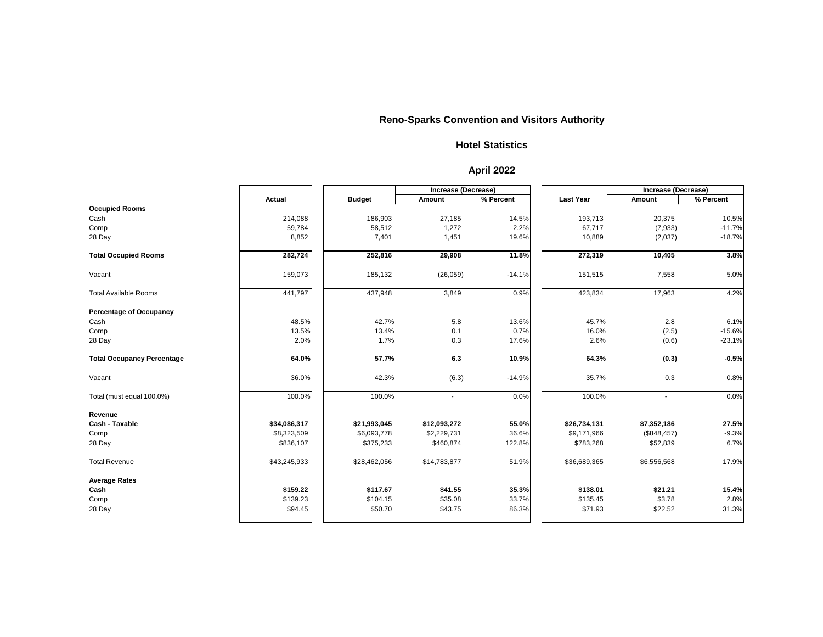|                                   |               |               | <b>Increase (Decrease)</b> |           |                  | <b>Increase (Decrease)</b> |           |
|-----------------------------------|---------------|---------------|----------------------------|-----------|------------------|----------------------------|-----------|
|                                   | <b>Actual</b> | <b>Budget</b> | <b>Amount</b>              | % Percent | <b>Last Year</b> | <b>Amount</b>              | % Percent |
| <b>Occupied Rooms</b>             |               |               |                            |           |                  |                            |           |
| Cash                              | 214,088       | 186,903       | 27,185                     | 14.5%     | 193,713          | 20,375                     | 10.5%     |
| Comp                              | 59,784        | 58,512        | 1,272                      | 2.2%      | 67,717           | (7,933)                    | $-11.7%$  |
| 28 Day                            | 8,852         | 7,401         | 1,451                      | 19.6%     | 10,889           | (2,037)                    | $-18.7%$  |
| <b>Total Occupied Rooms</b>       | 282,724       | 252,816       | 29,908                     | 11.8%     | 272,319          | 10,405                     | 3.8%      |
| Vacant                            | 159,073       | 185,132       | (26, 059)                  | $-14.1%$  | 151,515          | 7,558                      | 5.0%      |
| <b>Total Available Rooms</b>      | 441,797       | 437,948       | 3,849                      | 0.9%      | 423,834          | 17,963                     | 4.2%      |
| <b>Percentage of Occupancy</b>    |               |               |                            |           |                  |                            |           |
| Cash                              | 48.5%         | 42.7%         | 5.8                        | 13.6%     | 45.7%            | 2.8                        | 6.1%      |
| Comp                              | 13.5%         | 13.4%         | 0.1                        | 0.7%      | 16.0%            | (2.5)                      | $-15.6%$  |
| 28 Day                            | 2.0%          | 1.7%          | 0.3                        | 17.6%     | 2.6%             | (0.6)                      | $-23.1%$  |
| <b>Total Occupancy Percentage</b> | 64.0%         | 57.7%         | 6.3                        | 10.9%     | 64.3%            | (0.3)                      | $-0.5%$   |
| Vacant                            | 36.0%         | 42.3%         | (6.3)                      | $-14.9%$  | 35.7%            | 0.3                        | 0.8%      |
| Total (must equal 100.0%)         | 100.0%        | 100.0%        | $\blacksquare$             | 0.0%      | 100.0%           | $\blacksquare$             | 0.0%      |
| Revenue                           |               |               |                            |           |                  |                            |           |
| <b>Cash - Taxable</b>             | \$34,086,317  | \$21,993,045  | \$12,093,272               | 55.0%     | \$26,734,131     | \$7,352,186                | 27.5%     |
| Comp                              | \$8,323,509   | \$6,093,778   | \$2,229,731                | 36.6%     | \$9,171,966      | (\$848,457)                | $-9.3%$   |
| 28 Day                            | \$836,107     | \$375,233     | \$460,874                  | 122.8%    | \$783,268        | \$52,839                   | 6.7%      |
| <b>Total Revenue</b>              | \$43,245,933  | \$28,462,056  | \$14,783,877               | 51.9%     | \$36,689,365     | \$6,556,568                | 17.9%     |
| <b>Average Rates</b>              |               |               |                            |           |                  |                            |           |
| Cash                              | \$159.22      | \$117.67      | \$41.55                    | 35.3%     | \$138.01         | \$21.21                    | 15.4%     |
| Comp                              | \$139.23      | \$104.15      | \$35.08                    | 33.7%     | \$135.45         | \$3.78                     | 2.8%      |
| 28 Day                            | \$94.45       | \$50.70       | \$43.75                    | 86.3%     | \$71.93          | \$22.52                    | 31.3%     |

#### **Hotel Statistics**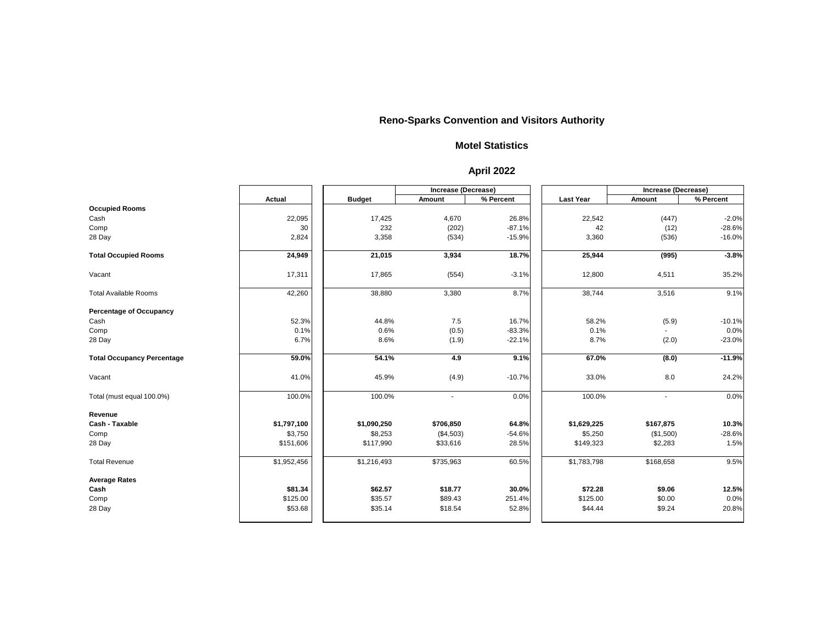|                                   |               |               | <b>Increase (Decrease)</b> |           |                  | <b>Increase (Decrease)</b> |           |
|-----------------------------------|---------------|---------------|----------------------------|-----------|------------------|----------------------------|-----------|
|                                   | <b>Actual</b> | <b>Budget</b> | <b>Amount</b>              | % Percent | <b>Last Year</b> | <b>Amount</b>              | % Percent |
| <b>Occupied Rooms</b>             |               |               |                            |           |                  |                            |           |
| Cash                              | 22,095        | 17,425        | 4,670                      | 26.8%     | 22,542           | (447)                      | $-2.0%$   |
| Comp                              | 30            | 232           | (202)                      | $-87.1%$  | 42               | (12)                       | $-28.6%$  |
| 28 Day                            | 2,824         | 3,358         | (534)                      | $-15.9%$  | 3,360            | (536)                      | $-16.0%$  |
| <b>Total Occupied Rooms</b>       | 24,949        | 21,015        | 3,934                      | 18.7%     | 25,944           | (995)                      | $-3.8%$   |
| Vacant                            | 17,311        | 17,865        | (554)                      | $-3.1%$   | 12,800           | 4,511                      | 35.2%     |
| <b>Total Available Rooms</b>      | 42,260        | 38,880        | 3,380                      | 8.7%      | 38,744           | 3,516                      | 9.1%      |
| <b>Percentage of Occupancy</b>    |               |               |                            |           |                  |                            |           |
| Cash                              | 52.3%         | 44.8%         | 7.5                        | 16.7%     | 58.2%            | (5.9)                      | $-10.1%$  |
| Comp                              | 0.1%          | 0.6%          | (0.5)                      | $-83.3%$  | 0.1%             |                            | 0.0%      |
| 28 Day                            | 6.7%          | 8.6%          | (1.9)                      | $-22.1%$  | 8.7%             | (2.0)                      | $-23.0%$  |
| <b>Total Occupancy Percentage</b> | 59.0%         | 54.1%         | 4.9                        | 9.1%      | 67.0%            | (8.0)                      | $-11.9%$  |
| Vacant                            | 41.0%         | 45.9%         | (4.9)                      | $-10.7%$  | 33.0%            | 8.0                        | 24.2%     |
| Total (must equal 100.0%)         | 100.0%        | 100.0%        | $\blacksquare$             | 0.0%      | 100.0%           | $\blacksquare$             | 0.0%      |
| Revenue                           |               |               |                            |           |                  |                            |           |
| <b>Cash - Taxable</b>             | \$1,797,100   | \$1,090,250   | \$706,850                  | 64.8%     | \$1,629,225      | \$167,875                  | 10.3%     |
| Comp                              | \$3,750       | \$8,253       | (\$4,503)                  | $-54.6%$  | \$5,250          | (\$1,500)                  | $-28.6%$  |
| 28 Day                            | \$151,606     | \$117,990     | \$33,616                   | 28.5%     | \$149,323        | \$2,283                    | 1.5%      |
| <b>Total Revenue</b>              | \$1,952,456   | \$1,216,493   | \$735,963                  | 60.5%     | \$1,783,798      | \$168,658                  | 9.5%      |
| <b>Average Rates</b>              |               |               |                            |           |                  |                            |           |
| Cash                              | \$81.34       | \$62.57       | \$18.77                    | 30.0%     | \$72.28          | \$9.06                     | 12.5%     |
| Comp                              | \$125.00      | \$35.57       | \$89.43                    | 251.4%    | \$125.00         | \$0.00                     | 0.0%      |
| 28 Day                            | \$53.68       | \$35.14       | \$18.54                    | 52.8%     | \$44.44          | \$9.24                     | 20.8%     |

#### **Motel Statistics**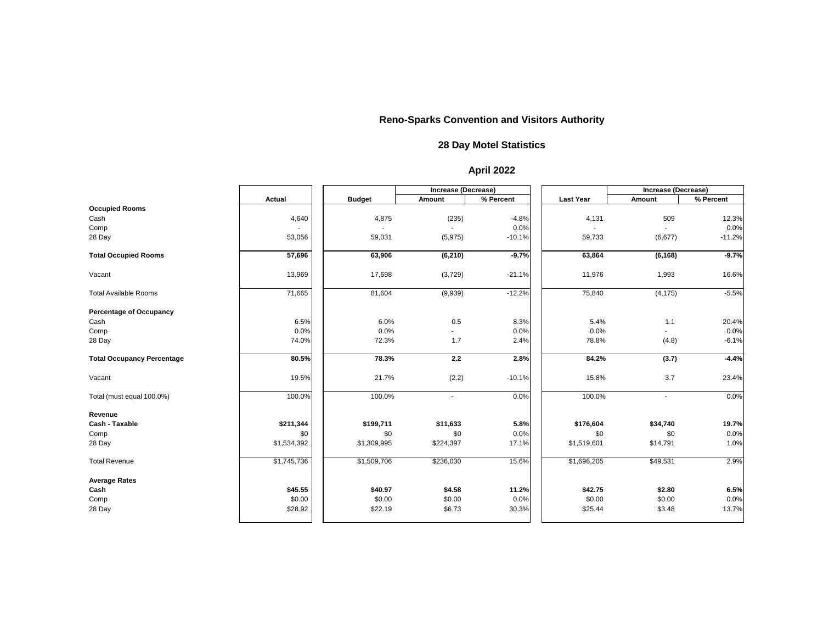|                                   |               |               | Increase (Decrease) |           |                  | <b>Increase (Decrease)</b> |           |
|-----------------------------------|---------------|---------------|---------------------|-----------|------------------|----------------------------|-----------|
|                                   | <b>Actual</b> | <b>Budget</b> | <b>Amount</b>       | % Percent | <b>Last Year</b> | <b>Amount</b>              | % Percent |
| <b>Occupied Rooms</b>             |               |               |                     |           |                  |                            |           |
| Cash                              | 4,640         | 4,875         | (235)               | $-4.8%$   | 4,131            | 509                        | 12.3%     |
| Comp                              |               |               |                     | 0.0%      |                  |                            | 0.0%      |
| 28 Day                            | 53,056        | 59,031        | (5, 975)            | $-10.1%$  | 59,733           | (6,677)                    | $-11.2%$  |
| <b>Total Occupied Rooms</b>       | 57,696        | 63,906        | (6, 210)            | $-9.7%$   | 63,864           | (6, 168)                   | $-9.7%$   |
| Vacant                            | 13,969        | 17,698        | (3,729)             | $-21.1%$  | 11,976           | 1,993                      | 16.6%     |
| <b>Total Available Rooms</b>      | 71,665        | 81,604        | (9,939)             | $-12.2%$  | 75,840           | (4, 175)                   | $-5.5%$   |
| <b>Percentage of Occupancy</b>    |               |               |                     |           |                  |                            |           |
| Cash                              | 6.5%          | 6.0%          | 0.5                 | 8.3%      | 5.4%             | 1.1                        | 20.4%     |
| Comp                              | 0.0%          | 0.0%          |                     | 0.0%      | 0.0%             |                            | 0.0%      |
| 28 Day                            | 74.0%         | 72.3%         | 1.7                 | 2.4%      | 78.8%            | (4.8)                      | $-6.1%$   |
| <b>Total Occupancy Percentage</b> | 80.5%         | 78.3%         | 2.2                 | 2.8%      | 84.2%            | (3.7)                      | $-4.4%$   |
| Vacant                            | 19.5%         | 21.7%         | (2.2)               | $-10.1%$  | 15.8%            | 3.7                        | 23.4%     |
| Total (must equal 100.0%)         | 100.0%        | 100.0%        | $\sim$              | 0.0%      | 100.0%           | $\blacksquare$             | 0.0%      |
| Revenue                           |               |               |                     |           |                  |                            |           |
| <b>Cash - Taxable</b>             | \$211,344     | \$199,711     | \$11,633            | 5.8%      | \$176,604        | \$34,740                   | 19.7%     |
| Comp                              | \$0           | \$0           | \$0                 | 0.0%      | \$0              | \$0                        | 0.0%      |
| 28 Day                            | \$1,534,392   | \$1,309,995   | \$224,397           | 17.1%     | \$1,519,601      | \$14,791                   | 1.0%      |
| <b>Total Revenue</b>              | \$1,745,736   | \$1,509,706   | \$236,030           | 15.6%     | \$1,696,205      | \$49,531                   | 2.9%      |
| <b>Average Rates</b>              |               |               |                     |           |                  |                            |           |
| Cash                              | \$45.55       | \$40.97       | \$4.58              | 11.2%     | \$42.75          | \$2.80                     | 6.5%      |
| Comp                              | \$0.00        | \$0.00        | \$0.00              | 0.0%      | \$0.00           | \$0.00                     | 0.0%      |
| 28 Day                            | \$28.92       | \$22.19       | \$6.73              | 30.3%     | \$25.44          | \$3.48                     | 13.7%     |
|                                   |               |               |                     |           |                  |                            |           |

### **28 Day Motel Statistics**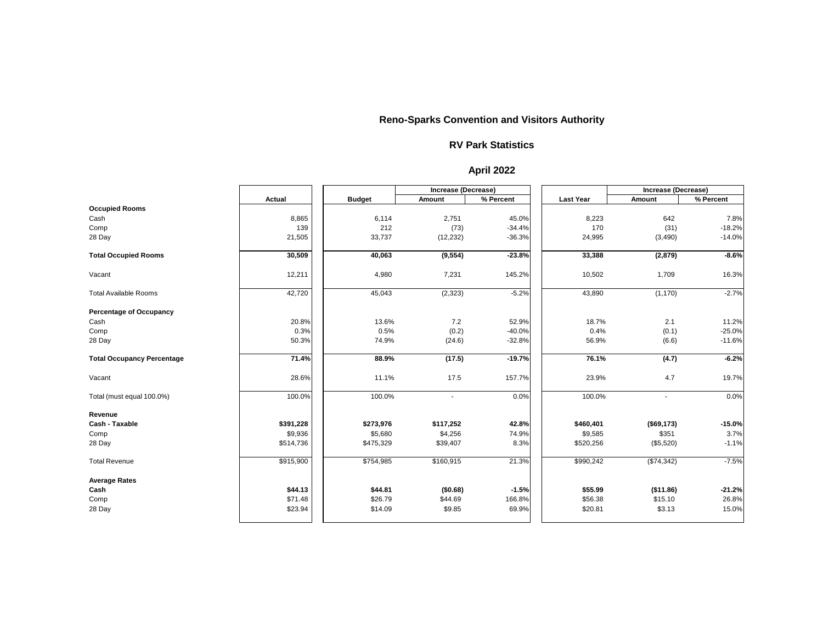|                                   |               |               | Increase (Decrease)      |           |                  | <b>Increase (Decrease)</b> |           |
|-----------------------------------|---------------|---------------|--------------------------|-----------|------------------|----------------------------|-----------|
|                                   | <b>Actual</b> | <b>Budget</b> | <b>Amount</b>            | % Percent | <b>Last Year</b> | <b>Amount</b>              | % Percent |
| <b>Occupied Rooms</b>             |               |               |                          |           |                  |                            |           |
| Cash                              | 8,865         | 6,114         | 2,751                    | 45.0%     | 8,223            | 642                        | 7.8%      |
| Comp                              | 139           | 212           | (73)                     | $-34.4%$  | 170              | (31)                       | $-18.2%$  |
| 28 Day                            | 21,505        | 33,737        | (12, 232)                | $-36.3%$  | 24,995           | (3,490)                    | $-14.0%$  |
| <b>Total Occupied Rooms</b>       | 30,509        | 40,063        | (9, 554)                 | $-23.8%$  | 33,388           | (2,879)                    | $-8.6%$   |
| Vacant                            | 12,211        | 4,980         | 7,231                    | 145.2%    | 10,502           | 1,709                      | 16.3%     |
| <b>Total Available Rooms</b>      | 42,720        | 45,043        | (2,323)                  | $-5.2%$   | 43,890           | (1, 170)                   | $-2.7%$   |
| <b>Percentage of Occupancy</b>    |               |               |                          |           |                  |                            |           |
| Cash                              | 20.8%         | 13.6%         | 7.2                      | 52.9%     | 18.7%            | 2.1                        | 11.2%     |
| Comp                              | 0.3%          | 0.5%          | (0.2)                    | $-40.0%$  | 0.4%             | (0.1)                      | $-25.0%$  |
| 28 Day                            | 50.3%         | 74.9%         | (24.6)                   | $-32.8%$  | 56.9%            | (6.6)                      | $-11.6%$  |
| <b>Total Occupancy Percentage</b> | 71.4%         | 88.9%         | (17.5)                   | $-19.7%$  | 76.1%            | (4.7)                      | $-6.2%$   |
| Vacant                            | 28.6%         | 11.1%         | 17.5                     | 157.7%    | 23.9%            | 4.7                        | 19.7%     |
| Total (must equal 100.0%)         | 100.0%        | 100.0%        | $\overline{\phantom{a}}$ | 0.0%      | 100.0%           | $\blacksquare$             | 0.0%      |
| Revenue                           |               |               |                          |           |                  |                            |           |
| <b>Cash - Taxable</b>             | \$391,228     | \$273,976     | \$117,252                | 42.8%     | \$460,401        | (\$69,173)                 | $-15.0%$  |
| Comp                              | \$9,936       | \$5,680       | \$4,256                  | 74.9%     | \$9,585          | \$351                      | 3.7%      |
| 28 Day                            | \$514,736     | \$475,329     | \$39,407                 | 8.3%      | \$520,256        | (\$5,520)                  | $-1.1%$   |
| <b>Total Revenue</b>              | \$915,900     | \$754,985     | \$160,915                | 21.3%     | \$990,242        | (\$74,342)                 | $-7.5%$   |
| <b>Average Rates</b>              |               |               |                          |           |                  |                            |           |
| Cash                              | \$44.13       | \$44.81       | (\$0.68)                 | $-1.5%$   | \$55.99          | (\$11.86)                  | $-21.2%$  |
| Comp                              | \$71.48       | \$26.79       | \$44.69                  | 166.8%    | \$56.38          | \$15.10                    | 26.8%     |
| 28 Day                            | \$23.94       | \$14.09       | \$9.85                   | 69.9%     | \$20.81          | \$3.13                     | 15.0%     |

#### **RV Park Statistics**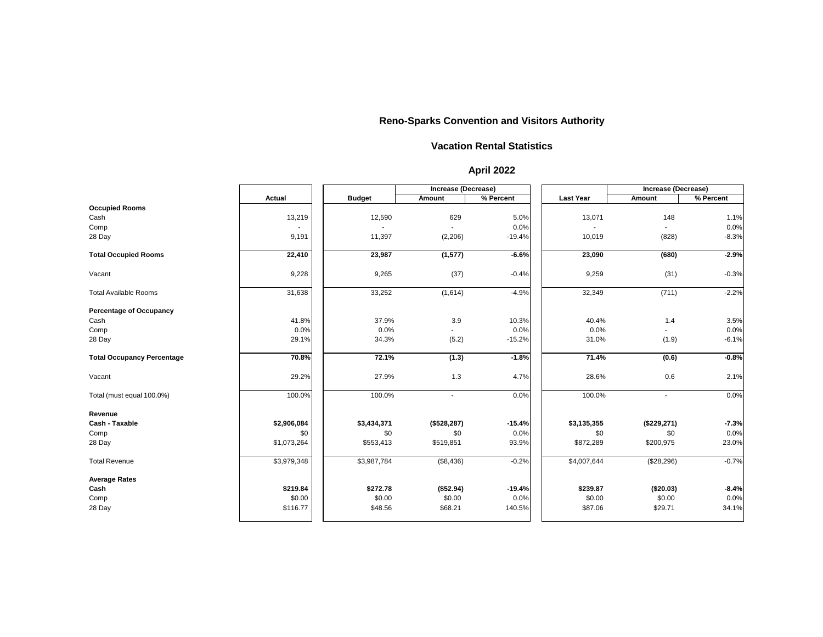|                                   |               |               | <b>Increase (Decrease)</b> |           |                  | Increase (Decrease) |           |
|-----------------------------------|---------------|---------------|----------------------------|-----------|------------------|---------------------|-----------|
|                                   | <b>Actual</b> | <b>Budget</b> | <b>Amount</b>              | % Percent | <b>Last Year</b> | <b>Amount</b>       | % Percent |
| <b>Occupied Rooms</b>             |               |               |                            |           |                  |                     |           |
| Cash                              | 13,219        | 12,590        | 629                        | 5.0%      | 13,071           | 148                 | 1.1%      |
| Comp                              |               |               |                            | 0.0%      |                  |                     | 0.0%      |
| 28 Day                            | 9,191         | 11,397        | (2,206)                    | $-19.4%$  | 10,019           | (828)               | $-8.3%$   |
| <b>Total Occupied Rooms</b>       | 22,410        | 23,987        | (1, 577)                   | $-6.6%$   | 23,090           | (680)               | $-2.9%$   |
| Vacant                            | 9,228         | 9,265         | (37)                       | $-0.4%$   | 9,259            | (31)                | $-0.3%$   |
| <b>Total Available Rooms</b>      | 31,638        | 33,252        | (1,614)                    | $-4.9%$   | 32,349           | (711)               | $-2.2%$   |
| <b>Percentage of Occupancy</b>    |               |               |                            |           |                  |                     |           |
| Cash                              | 41.8%         | 37.9%         | 3.9                        | 10.3%     | 40.4%            | 1.4                 | 3.5%      |
| Comp                              | 0.0%          | 0.0%          |                            | 0.0%      | 0.0%             |                     | 0.0%      |
| 28 Day                            | 29.1%         | 34.3%         | (5.2)                      | $-15.2%$  | 31.0%            | (1.9)               | $-6.1%$   |
| <b>Total Occupancy Percentage</b> | 70.8%         | 72.1%         | (1.3)                      | $-1.8%$   | 71.4%            | (0.6)               | $-0.8%$   |
| Vacant                            | 29.2%         | 27.9%         | 1.3                        | 4.7%      | 28.6%            | 0.6                 | 2.1%      |
| Total (must equal 100.0%)         | 100.0%        | 100.0%        | $\blacksquare$             | 0.0%      | 100.0%           | $\blacksquare$      | 0.0%      |
| Revenue                           |               |               |                            |           |                  |                     |           |
| <b>Cash - Taxable</b>             | \$2,906,084   | \$3,434,371   | (\$528, 287)               | $-15.4%$  | \$3,135,355      | (\$229,271)         | $-7.3%$   |
| Comp                              | \$0           | \$0           | \$0                        | 0.0%      | \$0              | \$0                 | 0.0%      |
| 28 Day                            | \$1,073,264   | \$553,413     | \$519,851                  | 93.9%     | \$872,289        | \$200,975           | 23.0%     |
| <b>Total Revenue</b>              | \$3,979,348   | \$3,987,784   | (\$8,436)                  | $-0.2%$   | \$4,007,644      | (\$28,296)          | $-0.7%$   |
| <b>Average Rates</b>              |               |               |                            |           |                  |                     |           |
| Cash                              | \$219.84      | \$272.78      | (\$52.94)                  | $-19.4%$  | \$239.87         | (\$20.03)           | $-8.4%$   |
| Comp                              | \$0.00        | \$0.00        | \$0.00                     | 0.0%      | \$0.00           | \$0.00              | 0.0%      |
| 28 Day                            | \$116.77      | \$48.56       | \$68.21                    | 140.5%    | \$87.06          | \$29.71             | 34.1%     |
|                                   |               |               |                            |           |                  |                     |           |

#### **Vacation Rental Statistics**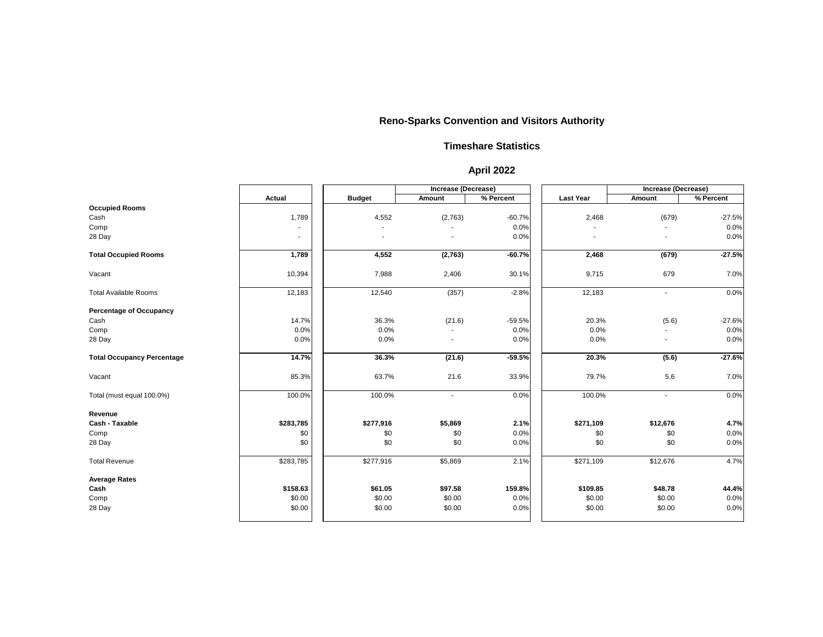|                                   |                |               |                          | <b>Increase (Decrease)</b> |                  | <b>Increase (Decrease)</b> |           |
|-----------------------------------|----------------|---------------|--------------------------|----------------------------|------------------|----------------------------|-----------|
|                                   | <b>Actual</b>  | <b>Budget</b> | <b>Amount</b>            | % Percent                  | <b>Last Year</b> | <b>Amount</b>              | % Percent |
| <b>Occupied Rooms</b>             |                |               |                          |                            |                  |                            |           |
| Cash                              | 1,789          | 4,552         | (2,763)                  | $-60.7%$                   | 2,468            | (679)                      | $-27.5%$  |
| Comp                              |                |               |                          | 0.0%                       |                  |                            | 0.0%      |
| 28 Day                            | $\blacksquare$ |               |                          | 0.0%                       |                  |                            | 0.0%      |
| <b>Total Occupied Rooms</b>       | 1,789          | 4,552         | (2,763)                  | $-60.7%$                   | 2,468            | (679)                      | $-27.5%$  |
| Vacant                            | 10,394         | 7,988         | 2,406                    | 30.1%                      | 9,715            | 679                        | 7.0%      |
| <b>Total Available Rooms</b>      | 12,183         | 12,540        | (357)                    | $-2.8%$                    | 12,183           | $\blacksquare$             | 0.0%      |
| <b>Percentage of Occupancy</b>    |                |               |                          |                            |                  |                            |           |
| Cash                              | 14.7%          | 36.3%         | (21.6)                   | $-59.5%$                   | 20.3%            | (5.6)                      | $-27.6%$  |
| Comp                              | 0.0%           | 0.0%          |                          | 0.0%                       | 0.0%             |                            | 0.0%      |
| 28 Day                            | 0.0%           | 0.0%          | $\overline{\phantom{a}}$ | 0.0%                       | 0.0%             | $\blacksquare$             | 0.0%      |
| <b>Total Occupancy Percentage</b> | 14.7%          | 36.3%         | (21.6)                   | $-59.5%$                   | 20.3%            | (5.6)                      | $-27.6%$  |
| Vacant                            | 85.3%          | 63.7%         | 21.6                     | 33.9%                      | 79.7%            | 5.6                        | 7.0%      |
| Total (must equal 100.0%)         | 100.0%         | 100.0%        | $\overline{\phantom{a}}$ | 0.0%                       | 100.0%           | $\blacksquare$             | 0.0%      |
| Revenue                           |                |               |                          |                            |                  |                            |           |
| <b>Cash - Taxable</b>             | \$283,785      | \$277,916     | \$5,869                  | 2.1%                       | \$271,109        | \$12,676                   | 4.7%      |
| Comp                              | \$0            | \$0           | \$0                      | 0.0%                       | \$0              | \$0                        | 0.0%      |
| 28 Day                            | \$0            | \$0           | \$0                      | 0.0%                       | \$0              | \$0                        | 0.0%      |
| <b>Total Revenue</b>              | \$283,785      | \$277,916     | \$5,869                  | 2.1%                       | \$271,109        | \$12,676                   | 4.7%      |
| <b>Average Rates</b>              |                |               |                          |                            |                  |                            |           |
| Cash                              | \$158.63       | \$61.05       | \$97.58                  | 159.8%                     | \$109.85         | \$48.78                    | 44.4%     |
| Comp                              | \$0.00         | \$0.00        | \$0.00                   | 0.0%                       | \$0.00           | \$0.00                     | 0.0%      |
| 28 Day                            | \$0.00         | \$0.00        | \$0.00                   | 0.0%                       | \$0.00           | \$0.00                     | 0.0%      |

#### **Timeshare Statistics**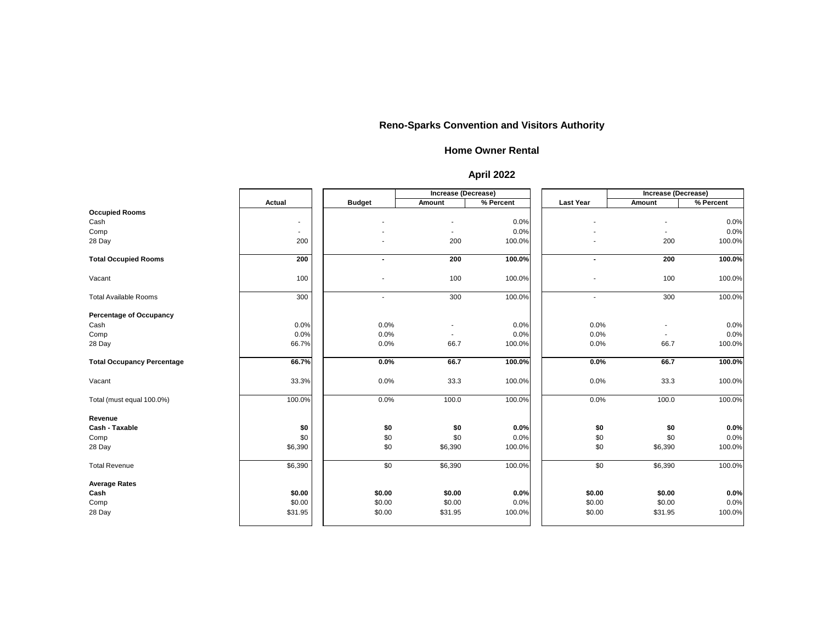|                                   |               |               | Increase (Decrease) |           |                  | Increase (Decrease) |           |
|-----------------------------------|---------------|---------------|---------------------|-----------|------------------|---------------------|-----------|
|                                   | <b>Actual</b> | <b>Budget</b> | <b>Amount</b>       | % Percent | <b>Last Year</b> | <b>Amount</b>       | % Percent |
| <b>Occupied Rooms</b>             |               |               |                     |           |                  |                     |           |
| Cash                              | $\sim$        |               |                     | 0.0%      |                  |                     | 0.0%      |
| Comp                              | $\sim$        |               |                     | 0.0%      |                  |                     | 0.0%      |
| 28 Day                            | 200           |               | 200                 | 100.0%    |                  | 200                 | 100.0%    |
| <b>Total Occupied Rooms</b>       | 200           |               | 200                 | 100.0%    |                  | 200                 | 100.0%    |
| Vacant                            | 100           |               | 100                 | 100.0%    |                  | 100                 | 100.0%    |
| <b>Total Available Rooms</b>      | 300           |               | 300                 | 100.0%    |                  | 300                 | 100.0%    |
| <b>Percentage of Occupancy</b>    |               |               |                     |           |                  |                     |           |
| Cash                              | 0.0%          | 0.0%          |                     | 0.0%      | 0.0%             |                     | 0.0%      |
| Comp                              | 0.0%          | 0.0%          |                     | 0.0%      | 0.0%             |                     | 0.0%      |
| 28 Day                            | 66.7%         | 0.0%          | 66.7                | 100.0%    | 0.0%             | 66.7                | 100.0%    |
| <b>Total Occupancy Percentage</b> | 66.7%         | 0.0%          | 66.7                | 100.0%    | 0.0%             | 66.7                | 100.0%    |
| Vacant                            | 33.3%         | 0.0%          | 33.3                | 100.0%    | 0.0%             | 33.3                | 100.0%    |
| Total (must equal 100.0%)         | 100.0%        | 0.0%          | 100.0               | 100.0%    | 0.0%             | 100.0               | 100.0%    |
| Revenue                           |               |               |                     |           |                  |                     |           |
| <b>Cash - Taxable</b>             | \$0           | \$0           | \$0                 | 0.0%      | \$0              | \$0                 | 0.0%      |
| Comp                              | \$0           | \$0           | \$0                 | 0.0%      | \$0              | \$0                 | 0.0%      |
| 28 Day                            | \$6,390       | \$0           | \$6,390             | 100.0%    | \$0              | \$6,390             | 100.0%    |
| <b>Total Revenue</b>              | \$6,390       | \$0           | \$6,390             | 100.0%    | \$0              | \$6,390             | 100.0%    |
| <b>Average Rates</b>              |               |               |                     |           |                  |                     |           |
| Cash                              | \$0.00        | \$0.00        | \$0.00              | 0.0%      | \$0.00           | \$0.00              | 0.0%      |
| Comp                              | \$0.00        | \$0.00        | \$0.00              | 0.0%      | \$0.00           | \$0.00              | 0.0%      |
| 28 Day                            | \$31.95       | \$0.00        | \$31.95             | 100.0%    | \$0.00           | \$31.95             | 100.0%    |

#### **Home Owner Rental**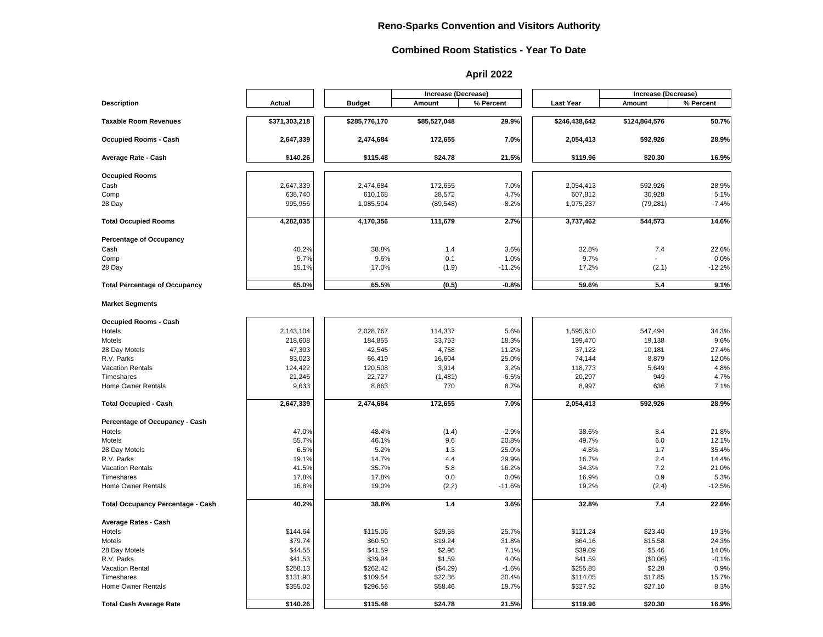|                                          |               |               | <b>Increase (Decrease)</b> |           |                  | Increase (Decrease) |           |
|------------------------------------------|---------------|---------------|----------------------------|-----------|------------------|---------------------|-----------|
| <b>Description</b>                       | <b>Actual</b> | <b>Budget</b> | <b>Amount</b>              | % Percent | <b>Last Year</b> | <b>Amount</b>       | % Percent |
| <b>Taxable Room Revenues</b>             | \$371,303,218 | \$285,776,170 | \$85,527,048               | 29.9%     | \$246,438,642    | \$124,864,576       | 50.7%     |
| <b>Occupied Rooms - Cash</b>             | 2,647,339     | 2,474,684     | 172,655                    | 7.0%      | 2,054,413        | 592,926             | 28.9%     |
| <b>Average Rate - Cash</b>               | \$140.26      | \$115.48      | \$24.78                    | 21.5%     | \$119.96         | \$20.30             | 16.9%     |
| <b>Occupied Rooms</b>                    |               |               |                            |           |                  |                     |           |
| Cash                                     | 2,647,339     | 2,474,684     | 172,655                    | 7.0%      | 2,054,413        | 592,926             | 28.9%     |
| Comp                                     | 638,740       | 610,168       | 28,572                     | 4.7%      | 607,812          | 30,928              | 5.1%      |
| 28 Day                                   | 995,956       | 1,085,504     | (89, 548)                  | $-8.2%$   | 1,075,237        | (79, 281)           | $-7.4%$   |
| <b>Total Occupied Rooms</b>              | 4,282,035     | 4,170,356     | 111,679                    | 2.7%      | 3,737,462        | 544,573             | 14.6%     |
| <b>Percentage of Occupancy</b>           |               |               |                            |           |                  |                     |           |
| Cash                                     | 40.2%         | 38.8%         | 1.4                        | 3.6%      | 32.8%            | 7.4                 | 22.6%     |
| Comp                                     | 9.7%          | 9.6%          | 0.1                        | 1.0%      | 9.7%             |                     | 0.0%      |
| 28 Day                                   | 15.1%         | 17.0%         | (1.9)                      | $-11.2%$  | 17.2%            | (2.1)               | $-12.2%$  |
| <b>Total Percentage of Occupancy</b>     | 65.0%         | 65.5%         | (0.5)                      | $-0.8%$   | 59.6%            | 5.4                 | 9.1%      |
| <b>Market Segments</b>                   |               |               |                            |           |                  |                     |           |
| <b>Occupied Rooms - Cash</b>             |               |               |                            |           |                  |                     |           |
| Hotels                                   | 2,143,104     | 2,028,767     | 114,337                    | 5.6%      | 1,595,610        | 547,494             | 34.3%     |
| Motels                                   | 218,608       | 184,855       | 33,753                     | 18.3%     | 199,470          | 19,138              | 9.6%      |
| 28 Day Motels                            | 47,303        | 42,545        | 4,758                      | 11.2%     | 37,122           | 10,181              | 27.4%     |
| R.V. Parks                               | 83,023        | 66,419        | 16,604                     | 25.0%     | 74,144           | 8,879               | 12.0%     |
| <b>Vacation Rentals</b>                  | 124,422       | 120,508       | 3,914                      | 3.2%      | 118,773          | 5,649               | 4.8%      |
| Timeshares                               | 21,246        | 22,727        | (1,481)                    | $-6.5%$   | 20,297           | 949                 | 4.7%      |
| Home Owner Rentals                       | 9,633         | 8,863         | 770                        | 8.7%      | 8,997            | 636                 | 7.1%      |
| <b>Total Occupied - Cash</b>             | 2,647,339     | 2,474,684     | 172,655                    | 7.0%      | 2,054,413        | 592,926             | 28.9%     |
| <b>Percentage of Occupancy - Cash</b>    |               |               |                            |           |                  |                     |           |
| Hotels                                   | 47.0%         | 48.4%         | (1.4)                      | $-2.9%$   | 38.6%            | 8.4                 | 21.8%     |
| Motels                                   | 55.7%         | 46.1%         | 9.6                        | 20.8%     | 49.7%            | 6.0                 | 12.1%     |
| 28 Day Motels                            | 6.5%          | 5.2%          | 1.3                        | 25.0%     | 4.8%             | 1.7                 | 35.4%     |
| R.V. Parks                               | 19.1%         | 14.7%         | 4.4                        | 29.9%     | 16.7%            | 2.4                 | 14.4%     |
| <b>Vacation Rentals</b>                  | 41.5%         | 35.7%         | 5.8                        | 16.2%     | 34.3%            | 7.2                 | 21.0%     |
| Timeshares                               | 17.8%         | 17.8%         | 0.0                        | 0.0%      | 16.9%            | 0.9                 | 5.3%      |
| <b>Home Owner Rentals</b>                | 16.8%         | 19.0%         | (2.2)                      | $-11.6%$  | 19.2%            | (2.4)               | $-12.5%$  |
| <b>Total Occupancy Percentage - Cash</b> | 40.2%         | 38.8%         | 1.4                        | 3.6%      | 32.8%            | 7.4                 | 22.6%     |
| <b>Average Rates - Cash</b>              |               |               |                            |           |                  |                     |           |
| Hotels                                   | \$144.64      | \$115.06      | \$29.58                    | 25.7%     | \$121.24         | \$23.40             | 19.3%     |
| Motels                                   | \$79.74       | \$60.50       | \$19.24                    | 31.8%     | \$64.16          | \$15.58             | 24.3%     |
| 28 Day Motels                            | \$44.55       | \$41.59       | \$2.96                     | 7.1%      | \$39.09          | \$5.46              | 14.0%     |
| R.V. Parks                               | \$41.53       | \$39.94       | \$1.59                     | 4.0%      | \$41.59          | (\$0.06)            | $-0.1%$   |
| <b>Vacation Rental</b>                   | \$258.13      | \$262.42      | (\$4.29)                   | $-1.6%$   | \$255.85         | \$2.28              | 0.9%      |
| Timeshares                               | \$131.90      | \$109.54      | \$22.36                    | 20.4%     | \$114.05         | \$17.85             | 15.7%     |
| <b>Home Owner Rentals</b>                | \$355.02      | \$296.56      | \$58.46                    | 19.7%     | \$327.92         | \$27.10             | 8.3%      |
| <b>Total Cash Average Rate</b>           | \$140.26      | \$115.48      | \$24.78                    | 21.5%     | \$119.96         | \$20.30             | 16.9%     |

#### **Combined Room Statistics - Year To Date**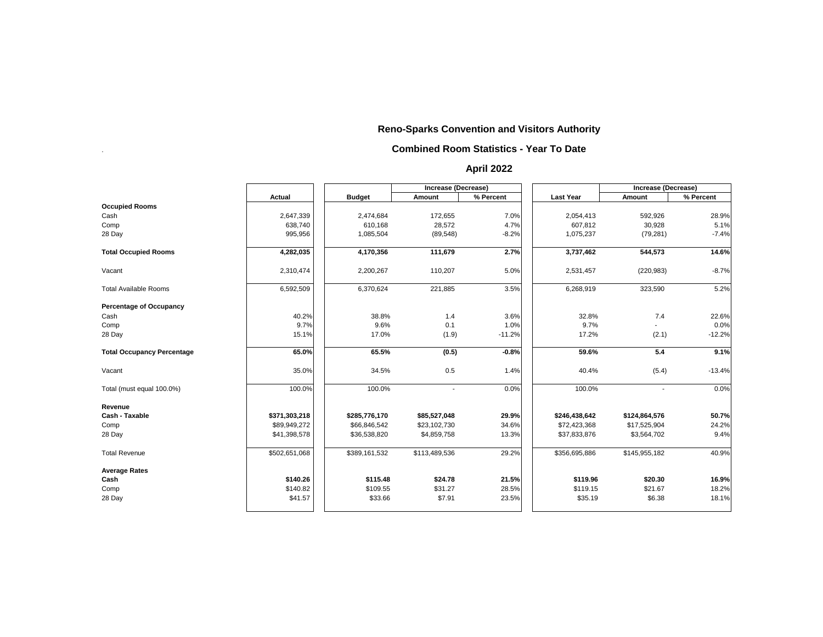.

|                                   |               |               | <b>Increase (Decrease)</b> |           |                  | <b>Increase (Decrease)</b> |           |
|-----------------------------------|---------------|---------------|----------------------------|-----------|------------------|----------------------------|-----------|
|                                   | <b>Actual</b> | <b>Budget</b> | Amount                     | % Percent | <b>Last Year</b> | <b>Amount</b>              | % Percent |
| <b>Occupied Rooms</b>             |               |               |                            |           |                  |                            |           |
| Cash                              | 2,647,339     | 2,474,684     | 172,655                    | 7.0%      | 2,054,413        | 592,926                    | 28.9%     |
| Comp                              | 638,740       | 610,168       | 28,572                     | 4.7%      | 607,812          | 30,928                     | 5.1%      |
| 28 Day                            | 995,956       | 1,085,504     | (89, 548)                  | $-8.2%$   | 1,075,237        | (79, 281)                  | $-7.4%$   |
| <b>Total Occupied Rooms</b>       | 4,282,035     | 4,170,356     | 111,679                    | 2.7%      | 3,737,462        | 544,573                    | 14.6%     |
| Vacant                            | 2,310,474     | 2,200,267     | 110,207                    | 5.0%      | 2,531,457        | (220, 983)                 | $-8.7%$   |
| <b>Total Available Rooms</b>      | 6,592,509     | 6,370,624     | 221,885                    | 3.5%      | 6,268,919        | 323,590                    | 5.2%      |
| <b>Percentage of Occupancy</b>    |               |               |                            |           |                  |                            |           |
| Cash                              | 40.2%         | 38.8%         | 1.4                        | 3.6%      | 32.8%            | 7.4                        | 22.6%     |
| Comp                              | 9.7%          | 9.6%          | 0.1                        | 1.0%      | 9.7%             |                            | 0.0%      |
| 28 Day                            | 15.1%         | 17.0%         | (1.9)                      | $-11.2%$  | 17.2%            | (2.1)                      | $-12.2%$  |
| <b>Total Occupancy Percentage</b> | 65.0%         | 65.5%         | (0.5)                      | $-0.8%$   | 59.6%            | 5.4                        | 9.1%      |
| Vacant                            | 35.0%         | 34.5%         | 0.5                        | 1.4%      | 40.4%            | (5.4)                      | $-13.4%$  |
| Total (must equal 100.0%)         | 100.0%        | 100.0%        | $\overline{\phantom{a}}$   | 0.0%      | 100.0%           |                            | 0.0%      |
| <b>Revenue</b>                    |               |               |                            |           |                  |                            |           |
| <b>Cash - Taxable</b>             | \$371,303,218 | \$285,776,170 | \$85,527,048               | 29.9%     | \$246,438,642    | \$124,864,576              | 50.7%     |
| Comp                              | \$89,949,272  | \$66,846,542  | \$23,102,730               | 34.6%     | \$72,423,368     | \$17,525,904               | 24.2%     |
| 28 Day                            | \$41,398,578  | \$36,538,820  | \$4,859,758                | 13.3%     | \$37,833,876     | \$3,564,702                | 9.4%      |
| <b>Total Revenue</b>              | \$502,651,068 | \$389,161,532 | \$113,489,536              | 29.2%     | \$356,695,886    | \$145,955,182              | 40.9%     |
| <b>Average Rates</b>              |               |               |                            |           |                  |                            |           |
| Cash                              | \$140.26      | \$115.48      | \$24.78                    | 21.5%     | \$119.96         | \$20.30                    | 16.9%     |
| Comp                              | \$140.82      | \$109.55      | \$31.27                    | 28.5%     | \$119.15         | \$21.67                    | 18.2%     |
| 28 Day                            | \$41.57       | \$33.66       | \$7.91                     | 23.5%     | \$35.19          | \$6.38                     | 18.1%     |
|                                   |               |               |                            |           |                  |                            |           |

## **Reno-Sparks Convention and Visitors Authority**

#### **Combined Room Statistics - Year To Date**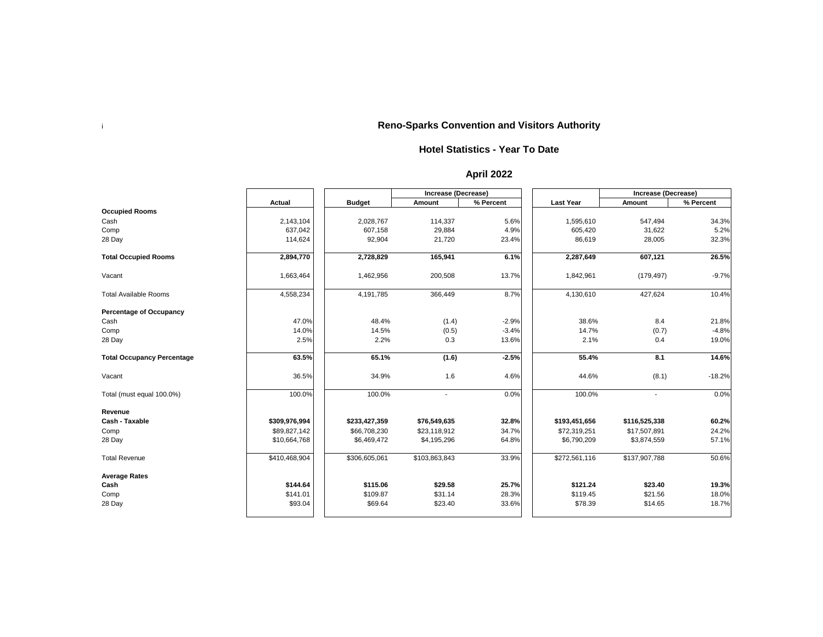i

|                                   |               |               | <b>Increase (Decrease)</b> |           |                  | <b>Increase (Decrease)</b> |           |  |
|-----------------------------------|---------------|---------------|----------------------------|-----------|------------------|----------------------------|-----------|--|
|                                   | <b>Actual</b> | <b>Budget</b> | <b>Amount</b>              | % Percent | <b>Last Year</b> | <b>Amount</b>              | % Percent |  |
| <b>Occupied Rooms</b>             |               |               |                            |           |                  |                            |           |  |
| Cash                              | 2,143,104     | 2,028,767     | 114,337                    | 5.6%      | 1,595,610        | 547,494                    | 34.3%     |  |
| Comp                              | 637,042       | 607,158       | 29,884                     | 4.9%      | 605,420          | 31,622                     | 5.2%      |  |
| 28 Day                            | 114,624       | 92,904        | 21,720                     | 23.4%     | 86,619           | 28,005                     | 32.3%     |  |
| <b>Total Occupied Rooms</b>       | 2,894,770     | 2,728,829     | 165,941                    | 6.1%      | 2,287,649        | 607,121                    | 26.5%     |  |
| Vacant                            | 1,663,464     | 1,462,956     | 200,508                    | 13.7%     | 1,842,961        | (179, 497)                 | $-9.7%$   |  |
| <b>Total Available Rooms</b>      | 4,558,234     | 4,191,785     | 366,449                    | 8.7%      | 4,130,610        | 427,624                    | 10.4%     |  |
| <b>Percentage of Occupancy</b>    |               |               |                            |           |                  |                            |           |  |
| Cash                              | 47.0%         | 48.4%         | (1.4)                      | $-2.9%$   | 38.6%            | 8.4                        | 21.8%     |  |
| Comp                              | 14.0%         | 14.5%         | (0.5)                      | $-3.4%$   | 14.7%            | (0.7)                      | $-4.8%$   |  |
| 28 Day                            | 2.5%          | 2.2%          | 0.3                        | 13.6%     | 2.1%             | 0.4                        | 19.0%     |  |
| <b>Total Occupancy Percentage</b> | 63.5%         | 65.1%         | (1.6)                      | $-2.5%$   | 55.4%            | 8.1                        | 14.6%     |  |
| Vacant                            | 36.5%         | 34.9%         | 1.6                        | 4.6%      | 44.6%            | (8.1)                      | $-18.2%$  |  |
| Total (must equal 100.0%)         | 100.0%        | 100.0%        | $\overline{\phantom{a}}$   | 0.0%      | 100.0%           | $\overline{\phantom{a}}$   | 0.0%      |  |
| Revenue                           |               |               |                            |           |                  |                            |           |  |
| <b>Cash - Taxable</b>             | \$309,976,994 | \$233,427,359 | \$76,549,635               | 32.8%     | \$193,451,656    | \$116,525,338              | 60.2%     |  |
| Comp                              | \$89,827,142  | \$66,708,230  | \$23,118,912               | 34.7%     | \$72,319,251     | \$17,507,891               | 24.2%     |  |
| 28 Day                            | \$10,664,768  | \$6,469,472   | \$4,195,296                | 64.8%     | \$6,790,209      | \$3,874,559                | 57.1%     |  |
| <b>Total Revenue</b>              | \$410,468,904 | \$306,605,061 | \$103,863,843              | 33.9%     | \$272,561,116    | \$137,907,788              | 50.6%     |  |
| <b>Average Rates</b>              |               |               |                            |           |                  |                            |           |  |
| Cash                              | \$144.64      | \$115.06      | \$29.58                    | 25.7%     | \$121.24         | \$23.40                    | 19.3%     |  |
| Comp                              | \$141.01      | \$109.87      | \$31.14                    | 28.3%     | \$119.45         | \$21.56                    | 18.0%     |  |
| 28 Day                            | \$93.04       | \$69.64       | \$23.40                    | 33.6%     | \$78.39          | \$14.65                    | 18.7%     |  |

#### **Hotel Statistics - Year To Date**

### **April 2022**

## **Reno-Sparks Convention and Visitors Authority**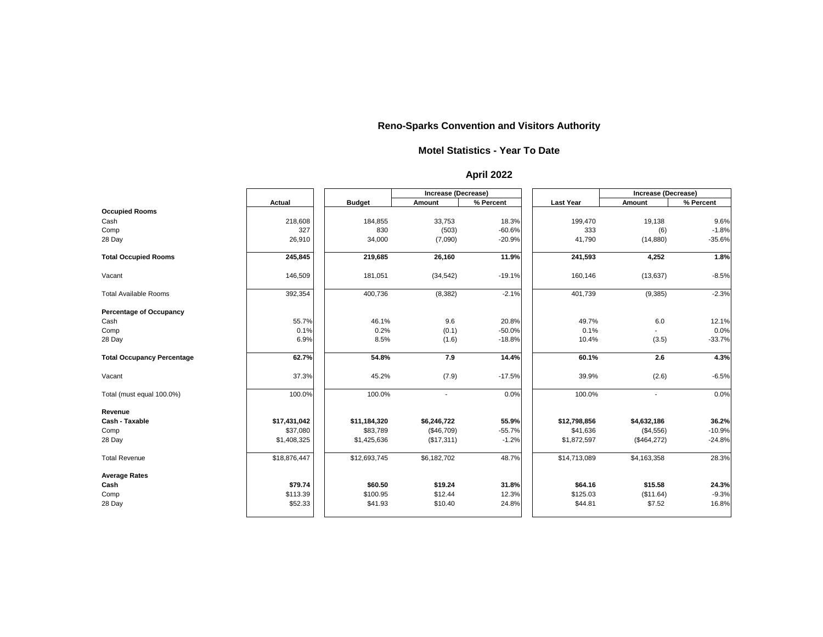|                                   |               |               | <b>Increase (Decrease)</b> |           |                  | <b>Increase (Decrease)</b> |           |  |
|-----------------------------------|---------------|---------------|----------------------------|-----------|------------------|----------------------------|-----------|--|
|                                   | <b>Actual</b> | <b>Budget</b> | <b>Amount</b>              | % Percent | <b>Last Year</b> | <b>Amount</b>              | % Percent |  |
| <b>Occupied Rooms</b>             |               |               |                            |           |                  |                            |           |  |
| Cash                              | 218,608       | 184,855       | 33,753                     | 18.3%     | 199,470          | 19,138                     | 9.6%      |  |
| Comp                              | 327           | 830           | (503)                      | $-60.6%$  | 333              | (6)                        | $-1.8%$   |  |
| 28 Day                            | 26,910        | 34,000        | (7,090)                    | $-20.9%$  | 41,790           | (14, 880)                  | $-35.6%$  |  |
| <b>Total Occupied Rooms</b>       | 245,845       | 219,685       | 26,160                     | 11.9%     | 241,593          | 4,252                      | 1.8%      |  |
| Vacant                            | 146,509       | 181,051       | (34, 542)                  | $-19.1%$  | 160,146          | (13, 637)                  | $-8.5%$   |  |
| <b>Total Available Rooms</b>      | 392,354       | 400,736       | (8, 382)                   | $-2.1%$   | 401,739          | (9,385)                    | $-2.3%$   |  |
| <b>Percentage of Occupancy</b>    |               |               |                            |           |                  |                            |           |  |
| Cash                              | 55.7%         | 46.1%         | 9.6                        | 20.8%     | 49.7%            | 6.0                        | 12.1%     |  |
| Comp                              | 0.1%          | 0.2%          | (0.1)                      | $-50.0%$  | 0.1%             |                            | 0.0%      |  |
| 28 Day                            | 6.9%          | 8.5%          | (1.6)                      | $-18.8%$  | 10.4%            | (3.5)                      | $-33.7%$  |  |
| <b>Total Occupancy Percentage</b> | 62.7%         | 54.8%         | 7.9                        | 14.4%     | 60.1%            | 2.6                        | 4.3%      |  |
| Vacant                            | 37.3%         | 45.2%         | (7.9)                      | $-17.5%$  | 39.9%            | (2.6)                      | $-6.5%$   |  |
| Total (must equal 100.0%)         | 100.0%        | 100.0%        | $\blacksquare$             | 0.0%      | 100.0%           | $\blacksquare$             | 0.0%      |  |
| <b>Revenue</b>                    |               |               |                            |           |                  |                            |           |  |
| <b>Cash - Taxable</b>             | \$17,431,042  | \$11,184,320  | \$6,246,722                | 55.9%     | \$12,798,856     | \$4,632,186                | 36.2%     |  |
| Comp                              | \$37,080      | \$83,789      | (\$46,709)                 | $-55.7%$  | \$41,636         | (\$4,556)                  | $-10.9%$  |  |
| 28 Day                            | \$1,408,325   | \$1,425,636   | (\$17,311)                 | $-1.2%$   | \$1,872,597      | (\$464,272)                | $-24.8%$  |  |
| <b>Total Revenue</b>              | \$18,876,447  | \$12,693,745  | \$6,182,702                | 48.7%     | \$14,713,089     | \$4,163,358                | 28.3%     |  |
| <b>Average Rates</b>              |               |               |                            |           |                  |                            |           |  |
| Cash                              | \$79.74       | \$60.50       | \$19.24                    | 31.8%     | \$64.16          | \$15.58                    | 24.3%     |  |
| Comp                              | \$113.39      | \$100.95      | \$12.44                    | 12.3%     | \$125.03         | (\$11.64)                  | $-9.3%$   |  |
| 28 Day                            | \$52.33       | \$41.93       | \$10.40                    | 24.8%     | \$44.81          | \$7.52                     | 16.8%     |  |

#### **Motel Statistics - Year To Date**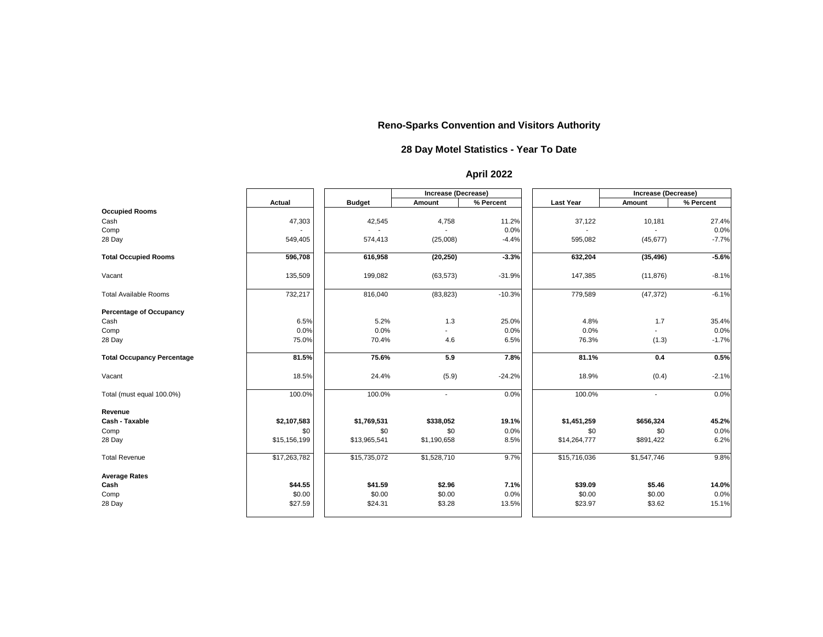|                                   |               |               | <b>Increase (Decrease)</b> |           |                  | <b>Increase (Decrease)</b> |           |
|-----------------------------------|---------------|---------------|----------------------------|-----------|------------------|----------------------------|-----------|
|                                   | <b>Actual</b> | <b>Budget</b> | <b>Amount</b>              | % Percent | <b>Last Year</b> | <b>Amount</b>              | % Percent |
| <b>Occupied Rooms</b>             |               |               |                            |           |                  |                            |           |
| Cash                              | 47,303        | 42,545        | 4,758                      | 11.2%     | 37,122           | 10,181                     | 27.4%     |
| Comp                              |               |               |                            | 0.0%      |                  |                            | 0.0%      |
| 28 Day                            | 549,405       | 574,413       | (25,008)                   | $-4.4%$   | 595,082          | (45, 677)                  | $-7.7%$   |
| <b>Total Occupied Rooms</b>       | 596,708       | 616,958       | (20, 250)                  | $-3.3%$   | 632,204          | (35, 496)                  | $-5.6%$   |
| Vacant                            | 135,509       | 199,082       | (63, 573)                  | $-31.9%$  | 147,385          | (11, 876)                  | $-8.1%$   |
| <b>Total Available Rooms</b>      | 732,217       | 816,040       | (83, 823)                  | $-10.3%$  | 779,589          | (47, 372)                  | $-6.1%$   |
| <b>Percentage of Occupancy</b>    |               |               |                            |           |                  |                            |           |
| Cash                              | 6.5%          | 5.2%          | 1.3                        | 25.0%     | 4.8%             | 1.7                        | 35.4%     |
| Comp                              | 0.0%          | 0.0%          |                            | 0.0%      | 0.0%             |                            | 0.0%      |
| 28 Day                            | 75.0%         | 70.4%         | 4.6                        | 6.5%      | 76.3%            | (1.3)                      | $-1.7%$   |
| <b>Total Occupancy Percentage</b> | 81.5%         | 75.6%         | 5.9                        | 7.8%      | 81.1%            | 0.4                        | 0.5%      |
| Vacant                            | 18.5%         | 24.4%         | (5.9)                      | $-24.2%$  | 18.9%            | (0.4)                      | $-2.1%$   |
| Total (must equal 100.0%)         | 100.0%        | 100.0%        | $\blacksquare$             | 0.0%      | 100.0%           | $\blacksquare$             | 0.0%      |
| <b>Revenue</b>                    |               |               |                            |           |                  |                            |           |
| <b>Cash - Taxable</b>             | \$2,107,583   | \$1,769,531   | \$338,052                  | 19.1%     | \$1,451,259      | \$656,324                  | 45.2%     |
| Comp                              | \$0           | \$0           | \$0                        | 0.0%      | \$0              | \$0                        | 0.0%      |
| 28 Day                            | \$15,156,199  | \$13,965,541  | \$1,190,658                | 8.5%      | \$14,264,777     | \$891,422                  | 6.2%      |
| <b>Total Revenue</b>              | \$17,263,782  | \$15,735,072  | \$1,528,710                | 9.7%      | \$15,716,036     | \$1,547,746                | 9.8%      |
| <b>Average Rates</b>              |               |               |                            |           |                  |                            |           |
| Cash                              | \$44.55       | \$41.59       | \$2.96                     | 7.1%      | \$39.09          | \$5.46                     | 14.0%     |
| Comp                              | \$0.00        | \$0.00        | \$0.00                     | 0.0%      | \$0.00           | \$0.00                     | 0.0%      |
| 28 Day                            | \$27.59       | \$24.31       | \$3.28                     | 13.5%     | \$23.97          | \$3.62                     | 15.1%     |

### **28 Day Motel Statistics - Year To Date**

### **April 2022**

## **Reno-Sparks Convention and Visitors Authority**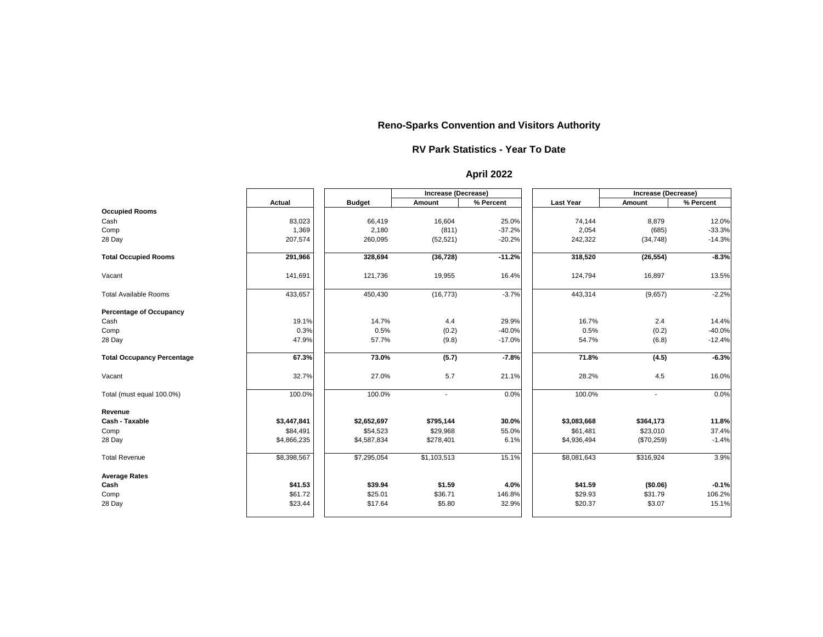|                                   |               |               | <b>Increase (Decrease)</b> |           |                  | Increase (Decrease)      |           |
|-----------------------------------|---------------|---------------|----------------------------|-----------|------------------|--------------------------|-----------|
|                                   | <b>Actual</b> | <b>Budget</b> | <b>Amount</b>              | % Percent | <b>Last Year</b> | <b>Amount</b>            | % Percent |
| <b>Occupied Rooms</b>             |               |               |                            |           |                  |                          |           |
| Cash                              | 83,023        | 66,419        | 16,604                     | 25.0%     | 74,144           | 8,879                    | 12.0%     |
| Comp                              | 1,369         | 2,180         | (811)                      | $-37.2%$  | 2,054            | (685)                    | $-33.3%$  |
| 28 Day                            | 207,574       | 260,095       | (52, 521)                  | $-20.2%$  | 242,322          | (34, 748)                | $-14.3%$  |
| <b>Total Occupied Rooms</b>       | 291,966       | 328,694       | (36, 728)                  | $-11.2%$  | 318,520          | (26, 554)                | $-8.3%$   |
| Vacant                            | 141,691       | 121,736       | 19,955                     | 16.4%     | 124,794          | 16,897                   | 13.5%     |
| <b>Total Available Rooms</b>      | 433,657       | 450,430       | (16, 773)                  | $-3.7%$   | 443,314          | (9,657)                  | $-2.2%$   |
| <b>Percentage of Occupancy</b>    |               |               |                            |           |                  |                          |           |
| Cash                              | 19.1%         | 14.7%         | 4.4                        | 29.9%     | 16.7%            | 2.4                      | 14.4%     |
| Comp                              | 0.3%          | 0.5%          | (0.2)                      | $-40.0%$  | 0.5%             | (0.2)                    | $-40.0%$  |
| 28 Day                            | 47.9%         | 57.7%         | (9.8)                      | $-17.0%$  | 54.7%            | (6.8)                    | $-12.4%$  |
| <b>Total Occupancy Percentage</b> | 67.3%         | 73.0%         | (5.7)                      | $-7.8%$   | 71.8%            | (4.5)                    | $-6.3%$   |
| Vacant                            | 32.7%         | 27.0%         | 5.7                        | 21.1%     | 28.2%            | 4.5                      | 16.0%     |
| Total (must equal 100.0%)         | 100.0%        | 100.0%        | $\blacksquare$             | 0.0%      | 100.0%           | $\overline{\phantom{a}}$ | 0.0%      |
| <b>Revenue</b>                    |               |               |                            |           |                  |                          |           |
| <b>Cash - Taxable</b>             | \$3,447,841   | \$2,652,697   | \$795,144                  | 30.0%     | \$3,083,668      | \$364,173                | 11.8%     |
| Comp                              | \$84,491      | \$54,523      | \$29,968                   | 55.0%     | \$61,481         | \$23,010                 | 37.4%     |
| 28 Day                            | \$4,866,235   | \$4,587,834   | \$278,401                  | 6.1%      | \$4,936,494      | (\$70,259)               | $-1.4%$   |
| <b>Total Revenue</b>              | \$8,398,567   | \$7,295,054   | \$1,103,513                | 15.1%     | \$8,081,643      | \$316,924                | 3.9%      |
| <b>Average Rates</b>              |               |               |                            |           |                  |                          |           |
| Cash                              | \$41.53       | \$39.94       | \$1.59                     | 4.0%      | \$41.59          | (\$0.06)                 | $-0.1%$   |
| Comp                              | \$61.72       | \$25.01       | \$36.71                    | 146.8%    | \$29.93          | \$31.79                  | 106.2%    |
| 28 Day                            | \$23.44       | \$17.64       | \$5.80                     | 32.9%     | \$20.37          | \$3.07                   | 15.1%     |

#### **RV Park Statistics - Year To Date**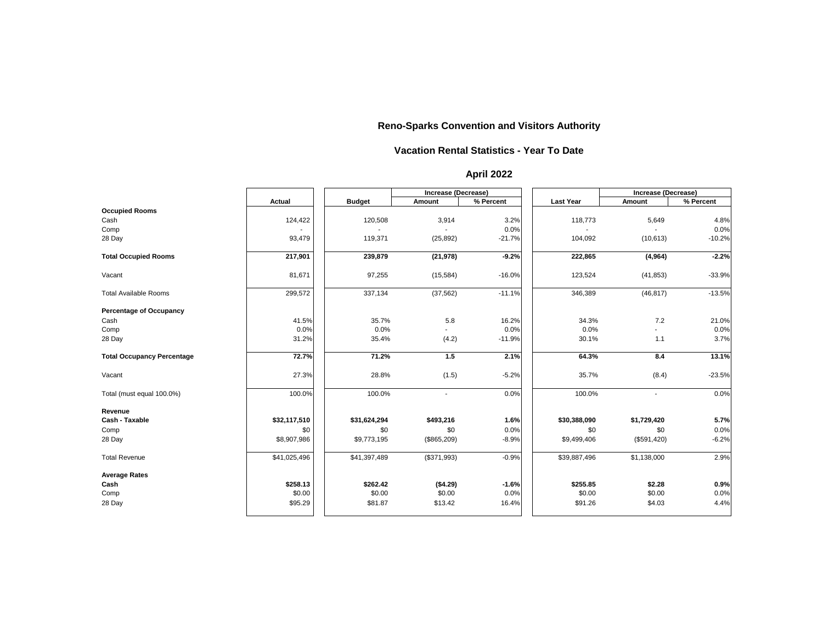|                                   |               |               |                | <b>Increase (Decrease)</b> |                  | <b>Increase (Decrease)</b> |           |  |
|-----------------------------------|---------------|---------------|----------------|----------------------------|------------------|----------------------------|-----------|--|
|                                   | <b>Actual</b> | <b>Budget</b> | <b>Amount</b>  | % Percent                  | <b>Last Year</b> | <b>Amount</b>              | % Percent |  |
| <b>Occupied Rooms</b>             |               |               |                |                            |                  |                            |           |  |
| Cash                              | 124,422       | 120,508       | 3,914          | 3.2%                       | 118,773          | 5,649                      | 4.8%      |  |
| Comp                              |               |               |                | 0.0%                       |                  |                            | 0.0%      |  |
| 28 Day                            | 93,479        | 119,371       | (25, 892)      | $-21.7%$                   | 104,092          | (10, 613)                  | $-10.2%$  |  |
| <b>Total Occupied Rooms</b>       | 217,901       | 239,879       | (21, 978)      | $-9.2%$                    | 222,865          | (4, 964)                   | $-2.2%$   |  |
| Vacant                            | 81,671        | 97,255        | (15, 584)      | $-16.0%$                   | 123,524          | (41, 853)                  | $-33.9%$  |  |
| <b>Total Available Rooms</b>      | 299,572       | 337,134       | (37, 562)      | $-11.1%$                   | 346,389          | (46, 817)                  | $-13.5%$  |  |
| <b>Percentage of Occupancy</b>    |               |               |                |                            |                  |                            |           |  |
| Cash                              | 41.5%         | 35.7%         | 5.8            | 16.2%                      | 34.3%            | 7.2                        | 21.0%     |  |
| Comp                              | 0.0%          | 0.0%          |                | 0.0%                       | 0.0%             |                            | 0.0%      |  |
| 28 Day                            | 31.2%         | 35.4%         | (4.2)          | $-11.9%$                   | 30.1%            | 1.1                        | 3.7%      |  |
| <b>Total Occupancy Percentage</b> | 72.7%         | 71.2%         | 1.5            | 2.1%                       | 64.3%            | 8.4                        | 13.1%     |  |
| Vacant                            | 27.3%         | 28.8%         | (1.5)          | $-5.2%$                    | 35.7%            | (8.4)                      | $-23.5%$  |  |
| Total (must equal 100.0%)         | 100.0%        | 100.0%        | $\blacksquare$ | 0.0%                       | 100.0%           | $\blacksquare$             | 0.0%      |  |
| Revenue                           |               |               |                |                            |                  |                            |           |  |
| <b>Cash - Taxable</b>             | \$32,117,510  | \$31,624,294  | \$493,216      | 1.6%                       | \$30,388,090     | \$1,729,420                | 5.7%      |  |
| Comp                              | \$0           | \$0           | \$0            | 0.0%                       | \$0              | \$0                        | 0.0%      |  |
| 28 Day                            | \$8,907,986   | \$9,773,195   | (\$865,209)    | $-8.9%$                    | \$9,499,406      | (\$591,420)                | $-6.2%$   |  |
| <b>Total Revenue</b>              | \$41,025,496  | \$41,397,489  | (\$371,993)    | $-0.9%$                    | \$39,887,496     | \$1,138,000                | 2.9%      |  |
| <b>Average Rates</b>              |               |               |                |                            |                  |                            |           |  |
| Cash                              | \$258.13      | \$262.42      | (\$4.29)       | $-1.6%$                    | \$255.85         | \$2.28                     | 0.9%      |  |
| Comp                              | \$0.00        | \$0.00        | \$0.00         | 0.0%                       | \$0.00           | \$0.00                     | 0.0%      |  |
| 28 Day                            | \$95.29       | \$81.87       | \$13.42        | 16.4%                      | \$91.26          | \$4.03                     | 4.4%      |  |

#### **Vacation Rental Statistics - Year To Date**

### **April 2022**

### **Reno-Sparks Convention and Visitors Authority**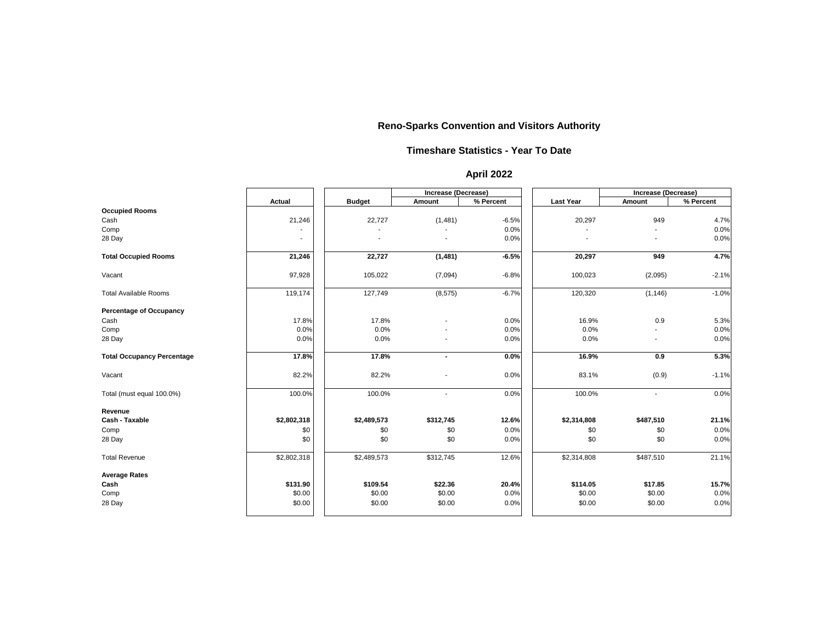|                                   |               |               | <b>Increase (Decrease)</b> |           |                  | <b>Increase (Decrease)</b> |           |
|-----------------------------------|---------------|---------------|----------------------------|-----------|------------------|----------------------------|-----------|
|                                   | <b>Actual</b> | <b>Budget</b> | <b>Amount</b>              | % Percent | <b>Last Year</b> | <b>Amount</b>              | % Percent |
| <b>Occupied Rooms</b>             |               |               |                            |           |                  |                            |           |
| Cash                              | 21,246        | 22,727        | (1, 481)                   | $-6.5%$   | 20,297           | 949                        | 4.7%      |
| Comp                              |               |               |                            | 0.0%      |                  |                            | 0.0%      |
| 28 Day                            |               |               |                            | 0.0%      |                  |                            | 0.0%      |
| <b>Total Occupied Rooms</b>       | 21,246        | 22,727        | (1, 481)                   | $-6.5%$   | 20,297           | 949                        | 4.7%      |
| Vacant                            | 97,928        | 105,022       | (7,094)                    | $-6.8%$   | 100,023          | (2,095)                    | $-2.1%$   |
| <b>Total Available Rooms</b>      | 119,174       | 127,749       | (8, 575)                   | $-6.7%$   | 120,320          | (1, 146)                   | $-1.0%$   |
| <b>Percentage of Occupancy</b>    |               |               |                            |           |                  |                            |           |
| Cash                              | 17.8%         | 17.8%         |                            | 0.0%      | 16.9%            | 0.9                        | 5.3%      |
| Comp                              | 0.0%          | 0.0%          |                            | 0.0%      | 0.0%             |                            | 0.0%      |
| 28 Day                            | 0.0%          | 0.0%          |                            | 0.0%      | 0.0%             |                            | 0.0%      |
| <b>Total Occupancy Percentage</b> | 17.8%         | 17.8%         | $\blacksquare$             | 0.0%      | 16.9%            | 0.9                        | 5.3%      |
| Vacant                            | 82.2%         | 82.2%         |                            | 0.0%      | 83.1%            | (0.9)                      | $-1.1%$   |
| Total (must equal 100.0%)         | 100.0%        | 100.0%        |                            | 0.0%      | 100.0%           | $\blacksquare$             | 0.0%      |
| Revenue                           |               |               |                            |           |                  |                            |           |
| <b>Cash - Taxable</b>             | \$2,802,318   | \$2,489,573   | \$312,745                  | 12.6%     | \$2,314,808      | \$487,510                  | 21.1%     |
| Comp                              | \$0           | \$0           | \$0                        | 0.0%      | \$0              | \$0                        | 0.0%      |
| 28 Day                            | \$0           | \$0           | \$0                        | 0.0%      | \$0              | \$0                        | 0.0%      |
| <b>Total Revenue</b>              | \$2,802,318   | \$2,489,573   | \$312,745                  | 12.6%     | \$2,314,808      | \$487,510                  | 21.1%     |
| <b>Average Rates</b>              |               |               |                            |           |                  |                            |           |
| Cash                              | \$131.90      | \$109.54      | \$22.36                    | 20.4%     | \$114.05         | \$17.85                    | 15.7%     |
| Comp                              | \$0.00        | \$0.00        | \$0.00                     | 0.0%      | \$0.00           | \$0.00                     | 0.0%      |
| 28 Day                            | \$0.00        | \$0.00        | \$0.00                     | 0.0%      | \$0.00           | \$0.00                     | 0.0%      |

#### **Timeshare Statistics - Year To Date**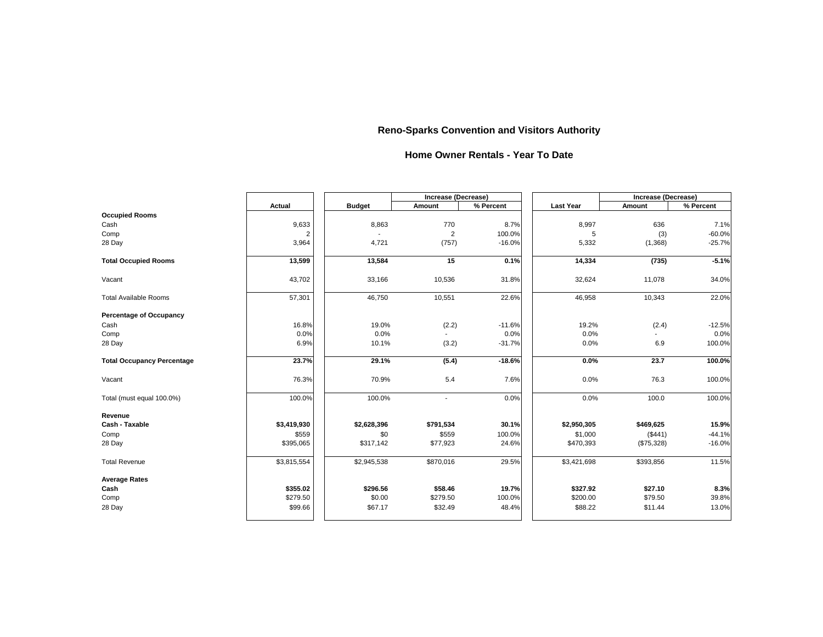|                                   |               |               | <b>Increase (Decrease)</b> |           |                  | <b>Increase (Decrease)</b> |           |
|-----------------------------------|---------------|---------------|----------------------------|-----------|------------------|----------------------------|-----------|
|                                   | <b>Actual</b> | <b>Budget</b> | <b>Amount</b>              | % Percent | <b>Last Year</b> | <b>Amount</b>              | % Percent |
| <b>Occupied Rooms</b>             |               |               |                            |           |                  |                            |           |
| Cash                              | 9,633         | 8,863         | 770                        | 8.7%      | 8,997            | 636                        | 7.1%      |
| Comp                              | 2             |               | $\overline{2}$             | 100.0%    | 5                | (3)                        | $-60.0%$  |
| 28 Day                            | 3,964         | 4,721         | (757)                      | $-16.0%$  | 5,332            | (1,368)                    | $-25.7%$  |
| <b>Total Occupied Rooms</b>       | 13,599        | 13,584        | 15                         | 0.1%      | 14,334           | (735)                      | $-5.1%$   |
| Vacant                            | 43,702        | 33,166        | 10,536                     | 31.8%     | 32,624           | 11,078                     | 34.0%     |
| <b>Total Available Rooms</b>      | 57,301        | 46,750        | 10,551                     | 22.6%     | 46,958           | 10,343                     | 22.0%     |
| <b>Percentage of Occupancy</b>    |               |               |                            |           |                  |                            |           |
| Cash                              | 16.8%         | 19.0%         | (2.2)                      | $-11.6%$  | 19.2%            | (2.4)                      | $-12.5%$  |
| Comp                              | 0.0%          | 0.0%          |                            | 0.0%      | 0.0%             |                            | 0.0%      |
| 28 Day                            | 6.9%          | 10.1%         | (3.2)                      | $-31.7%$  | 0.0%             | 6.9                        | 100.0%    |
| <b>Total Occupancy Percentage</b> | 23.7%         | 29.1%         | (5.4)                      | $-18.6%$  | $0.0\%$          | 23.7                       | 100.0%    |
| Vacant                            | 76.3%         | 70.9%         | 5.4                        | 7.6%      | 0.0%             | 76.3                       | 100.0%    |
| Total (must equal 100.0%)         | 100.0%        | 100.0%        |                            | 0.0%      | 0.0%             | 100.0                      | 100.0%    |
| <b>Revenue</b>                    |               |               |                            |           |                  |                            |           |
| <b>Cash - Taxable</b>             | \$3,419,930   | \$2,628,396   | \$791,534                  | 30.1%     | \$2,950,305      | \$469,625                  | 15.9%     |
| Comp                              | \$559         | \$0           | \$559                      | 100.0%    | \$1,000          | (\$441)                    | $-44.1%$  |
| 28 Day                            | \$395,065     | \$317,142     | \$77,923                   | 24.6%     | \$470,393        | (\$75,328)                 | $-16.0%$  |
| <b>Total Revenue</b>              | \$3,815,554   | \$2,945,538   | \$870,016                  | 29.5%     | \$3,421,698      | \$393,856                  | 11.5%     |
| <b>Average Rates</b>              |               |               |                            |           |                  |                            |           |
| Cash                              | \$355.02      | \$296.56      | \$58.46                    | 19.7%     | \$327.92         | \$27.10                    | 8.3%      |
| Comp                              | \$279.50      | \$0.00        | \$279.50                   | 100.0%    | \$200.00         | \$79.50                    | 39.8%     |
| 28 Day                            | \$99.66       | \$67.17       | \$32.49                    | 48.4%     | \$88.22          | \$11.44                    | 13.0%     |

#### **Home Owner Rentals - Year To Date**

## **Reno-Sparks Convention and Visitors Authority**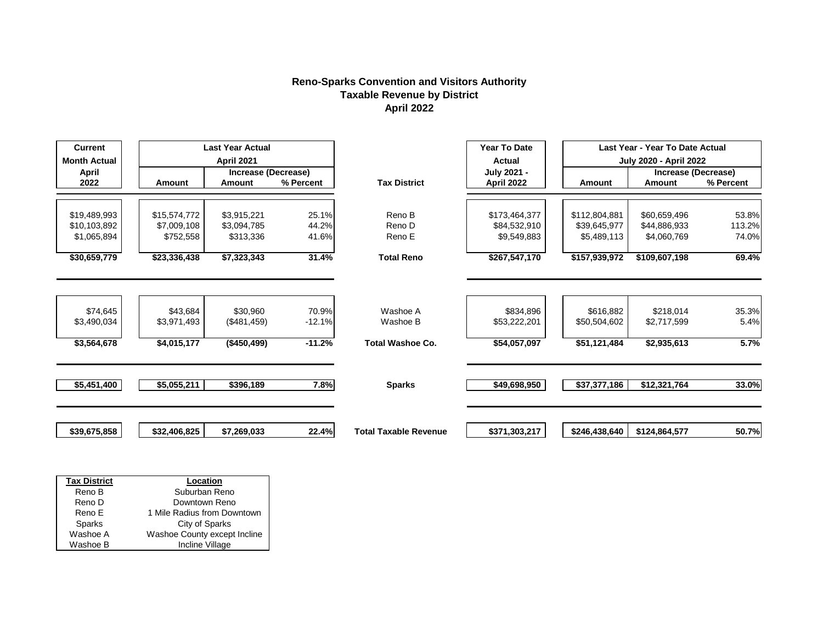#### **Reno-Sparks Convention and Visitors Authority Taxable Revenue by District April 2022**

| <b>Current</b>       | <b>Last Year Actual</b>     |                                                 |           |                              |                                  | <b>Year To Date</b> | Last Year - Year To Date Actual             |           |  |
|----------------------|-----------------------------|-------------------------------------------------|-----------|------------------------------|----------------------------------|---------------------|---------------------------------------------|-----------|--|
| <b>Month Actual</b>  |                             | <b>April 2021</b><br><b>Increase (Decrease)</b> |           |                              | <b>Actual</b>                    |                     | <b>July 2020 - April 2022</b>               |           |  |
| <b>April</b><br>2022 | <b>Amount</b>               | <b>Amount</b>                                   | % Percent | <b>Tax District</b>          | <b>July 2021 -</b><br>April 2022 | <b>Amount</b>       | <b>Increase (Decrease)</b><br><b>Amount</b> | % Percent |  |
|                      |                             |                                                 |           |                              |                                  |                     |                                             |           |  |
| \$19,489,993         | \$15,574,772                | \$3,915,221                                     | 25.1%     | Reno B                       | \$173,464,377                    | \$112,804,881       | \$60,659,496                                | 53.8%     |  |
| \$10,103,892         | \$7,009,108                 | \$3,094,785                                     | 44.2%     | Reno D                       | \$84,532,910                     | \$39,645,977        | \$44,886,933                                | 113.2%    |  |
| \$1,065,894          | \$752,558                   | \$313,336                                       | 41.6%     | Reno E                       | \$9,549,883                      | \$5,489,113         | \$4,060,769                                 | 74.0%     |  |
| \$30,659,779         | \$23,336,438                | \$7,323,343                                     | 31.4%     | <b>Total Reno</b>            | \$267,547,170                    | \$157,939,972       | \$109,607,198                               | 69.4%     |  |
|                      |                             |                                                 |           |                              |                                  |                     |                                             |           |  |
| \$74,645             | \$43,684                    | \$30,960                                        | 70.9%     | Washoe A                     | \$834,896                        | \$616,882           | \$218,014                                   | 35.3%     |  |
| \$3,490,034          | \$3,971,493                 | (\$481,459)                                     | $-12.1%$  | Washoe B                     | \$53,222,201                     | \$50,504,602        | \$2,717,599                                 | 5.4%      |  |
| \$3,564,678          | \$4,015,177                 | (\$450,499)                                     | $-11.2%$  | <b>Total Washoe Co.</b>      | \$54,057,097                     | \$51,121,484        | \$2,935,613                                 | 5.7%      |  |
| \$5,451,400          | \$5,055,211                 | \$396,189                                       | 7.8%      | <b>Sparks</b>                | \$49,698,950                     | \$37,377,186        | \$12,321,764                                | 33.0%     |  |
|                      |                             |                                                 |           |                              |                                  |                     |                                             |           |  |
| \$39,675,858         | \$32,406,825                | \$7,269,033                                     | 22.4%     | <b>Total Taxable Revenue</b> | \$371,303,217                    | \$246,438,640       | \$124,864,577                               | 50.7%     |  |
|                      |                             |                                                 |           |                              |                                  |                     |                                             |           |  |
|                      |                             |                                                 |           |                              |                                  |                     |                                             |           |  |
| <b>Tax District</b>  | Location                    |                                                 |           |                              |                                  |                     |                                             |           |  |
| Reno B               | Suburban Reno               |                                                 |           |                              |                                  |                     |                                             |           |  |
| Reno D               | Downtown Reno               |                                                 |           |                              |                                  |                     |                                             |           |  |
| Reno E               | 1 Mile Radius from Downtown |                                                 |           |                              |                                  |                     |                                             |           |  |

Sparks Washoe A<br>Washoe B

Washoe B **Incline Village** 

City of Sparks Washoe County except Incline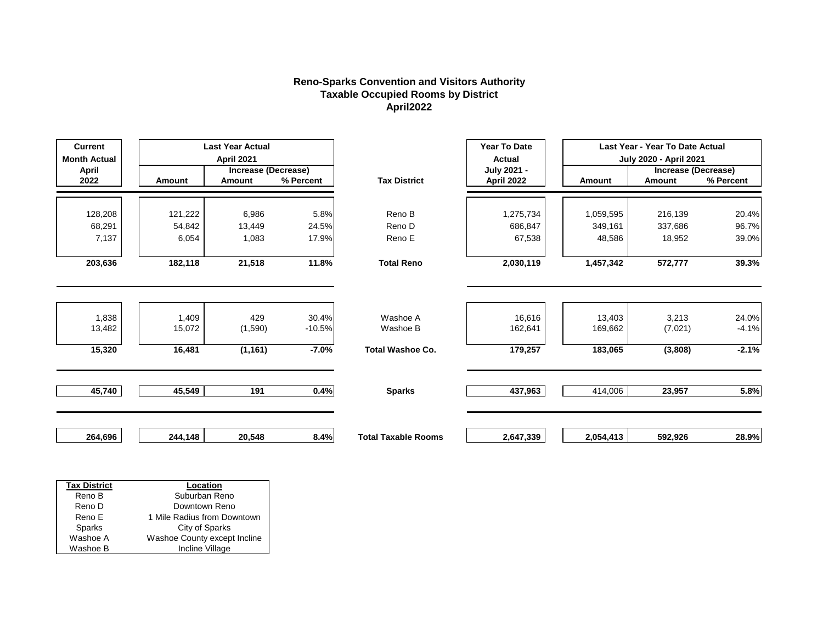#### **Reno-Sparks Convention and Visitors Authority Taxable Occupied Rooms by District April2022**

| <b>Current</b><br><b>Month Actual</b> |               | <b>Last Year Actual</b><br><b>April 2021</b> |           |                            | <b>Year To Date</b><br><b>Actual</b> |               | Last Year - Year To Date Actual<br><b>July 2020 - April 2021</b> |           |
|---------------------------------------|---------------|----------------------------------------------|-----------|----------------------------|--------------------------------------|---------------|------------------------------------------------------------------|-----------|
| <b>April</b>                          |               | <b>Increase (Decrease)</b>                   |           |                            | July 2021 -                          |               | <b>Increase (Decrease)</b>                                       |           |
| 2022                                  | <b>Amount</b> | <b>Amount</b>                                | % Percent | <b>Tax District</b>        | <b>April 2022</b>                    | <b>Amount</b> | <b>Amount</b>                                                    | % Percent |
|                                       |               |                                              |           |                            |                                      |               |                                                                  |           |
| 128,208                               | 121,222       | 6,986                                        | 5.8%      | Reno B                     | 1,275,734                            | 1,059,595     | 216,139                                                          | 20.4%     |
| 68,291                                | 54,842        | 13,449                                       | 24.5%     | Reno D                     | 686,847                              | 349,161       | 337,686                                                          | 96.7%     |
| 7,137                                 | 6,054         | 1,083                                        | 17.9%     | Reno E                     | 67,538                               | 48,586        | 18,952                                                           | 39.0%     |
|                                       |               |                                              |           |                            |                                      |               |                                                                  |           |
| 203,636                               | 182,118       | 21,518                                       | 11.8%     | <b>Total Reno</b>          | 2,030,119                            | 1,457,342     | 572,777                                                          | 39.3%     |
|                                       |               |                                              |           |                            |                                      |               |                                                                  |           |
|                                       |               |                                              |           |                            |                                      |               |                                                                  |           |
| 1,838                                 | 1,409         | 429                                          | 30.4%     | Washoe A                   | 16,616                               | 13,403        | 3,213                                                            | 24.0%     |
| 13,482                                | 15,072        | (1,590)                                      | $-10.5%$  | Washoe B                   | 162,641                              | 169,662       | (7,021)                                                          | $-4.1%$   |
| 15,320                                | 16,481        | (1, 161)                                     | $-7.0%$   | <b>Total Washoe Co.</b>    | 179,257                              | 183,065       | (3,808)                                                          | $-2.1%$   |
|                                       |               |                                              |           |                            |                                      |               |                                                                  |           |
|                                       |               |                                              |           |                            |                                      |               |                                                                  |           |
| 45,740                                | 45,549        | 191                                          | 0.4%      | <b>Sparks</b>              | 437,963                              | 414,006       | 23,957                                                           | 5.8%      |
|                                       |               |                                              |           |                            |                                      |               |                                                                  |           |
|                                       |               |                                              |           |                            |                                      |               |                                                                  |           |
| 264,696                               | 244,148       | 20,548                                       | 8.4%      | <b>Total Taxable Rooms</b> | 2,647,339                            | 2,054,413     | 592,926                                                          | 28.9%     |
|                                       |               |                                              |           |                            |                                      |               |                                                                  |           |
|                                       |               |                                              |           |                            |                                      |               |                                                                  |           |

| <b>Tax District</b> | Location                     |
|---------------------|------------------------------|
| Reno B              | Suburban Reno                |
| Reno D              | Downtown Reno                |
| Reno E              | 1 Mile Radius from Downtown  |
| Sparks              | City of Sparks               |
| Washoe A            | Washoe County except Incline |
| Washoe B            | Incline Village              |